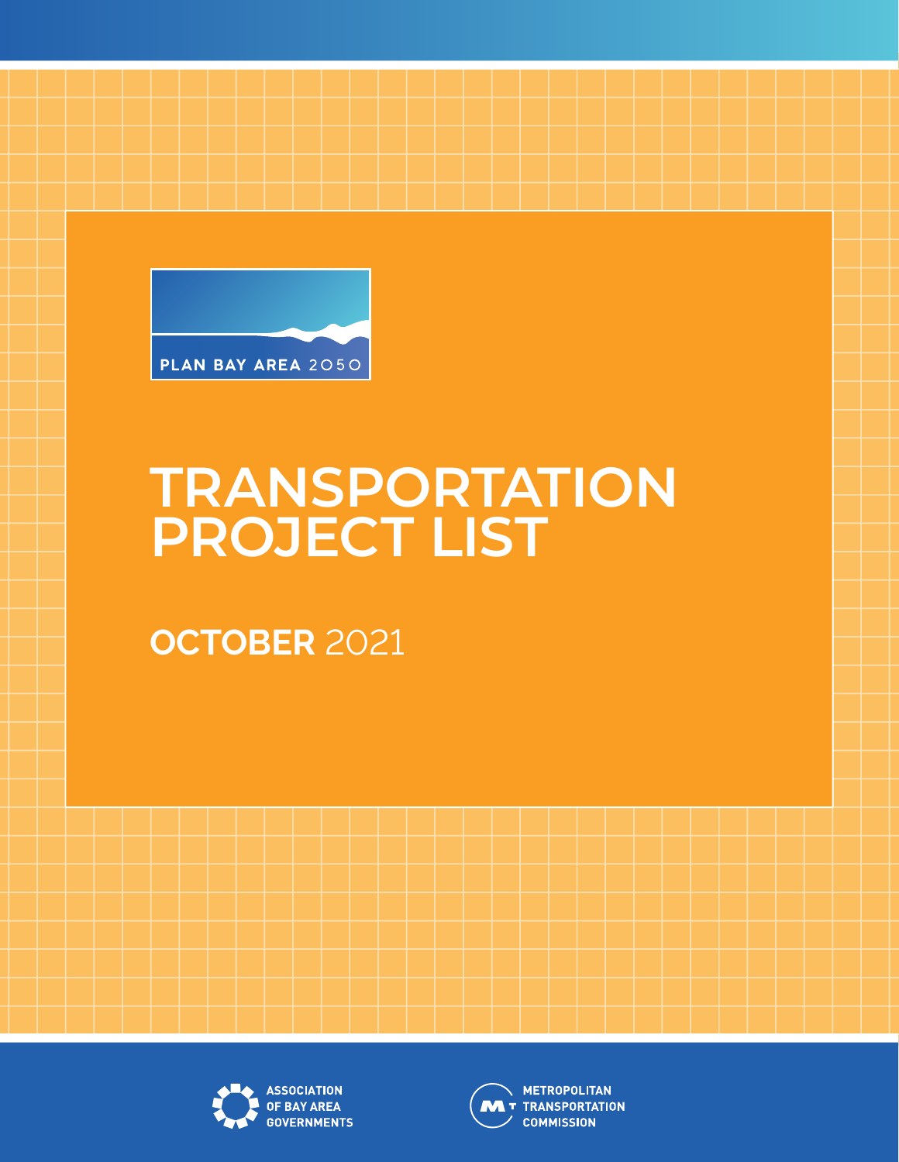

# **TRANSPORTATION PROJECT LIST**

**OCTOBER** 2021





**METROPOLITAN W** T TRANSPORTATION **COMMISSION**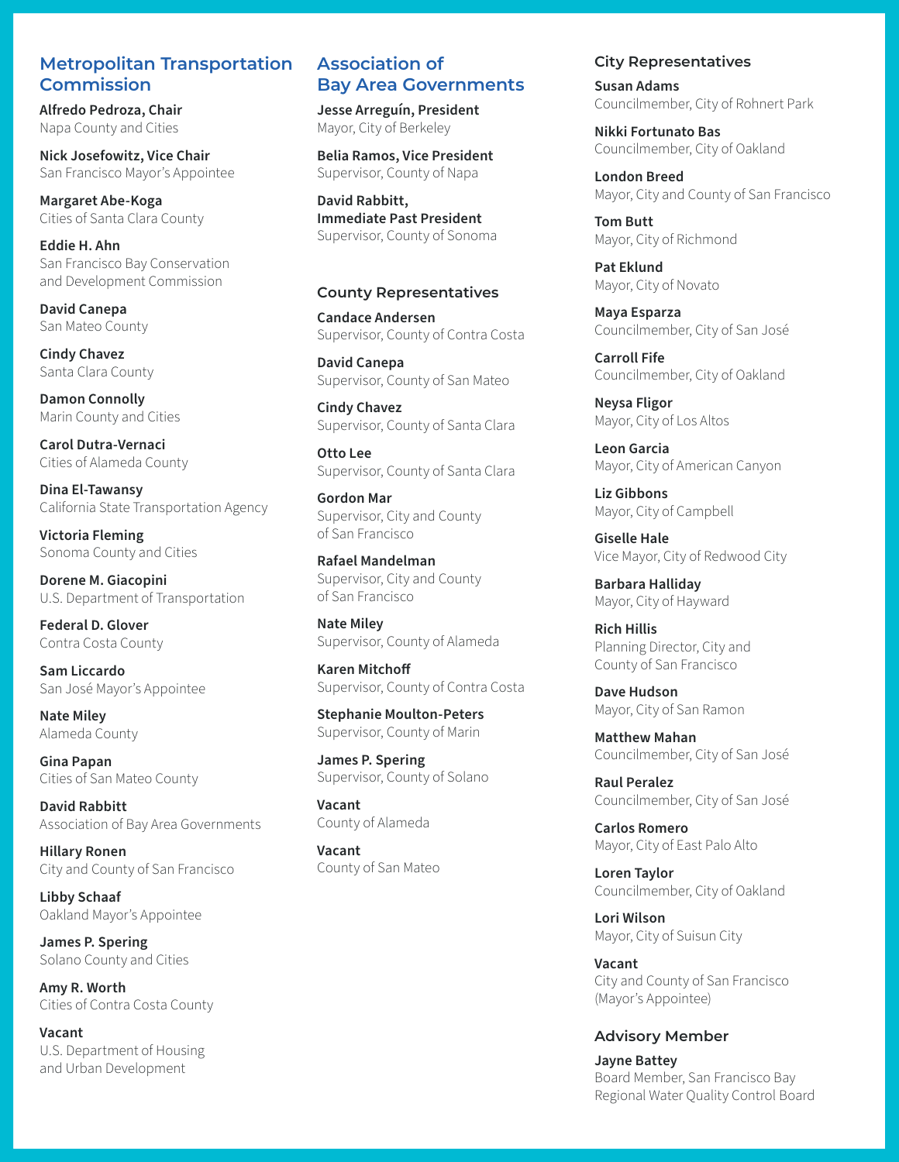## **Metropolitan Transportation Commission**

**Alfredo Pedroza, Chair** Napa County and Cities

**Nick Josefowitz, Vice Chair** San Francisco Mayor's Appointee

**Margaret Abe-Koga** Cities of Santa Clara County

**Eddie H. Ahn** San Francisco Bay Conservation and Development Commission

**David Canepa** San Mateo County

**Cindy Chavez** Santa Clara County

**Damon Connolly** Marin County and Cities

**Carol Dutra-Vernaci** Cities of Alameda County

**Dina El-Tawansy** California State Transportation Agency

**Victoria Fleming** Sonoma County and Cities

**Dorene M. Giacopini** U.S. Department of Transportation

**Federal D. Glover** Contra Costa County

**Sam Liccardo** San José Mayor's Appointee

**Nate Miley** Alameda County

**Gina Papan** Cities of San Mateo County

**David Rabbitt** Association of Bay Area Governments

**Hillary Ronen** City and County of San Francisco

**Libby Schaaf** Oakland Mayor's Appointee

**James P. Spering** Solano County and Cities

**Amy R. Worth** Cities of Contra Costa County

**Vacant** U.S. Department of Housing and Urban Development

## **Association of Bay Area Governments**

**Jesse Arreguín, President** Mayor, City of Berkeley

**Belia Ramos, Vice President** Supervisor, County of Napa

**David Rabbitt, Immediate Past President** Supervisor, County of Sonoma

#### **County Representatives**

**Candace Andersen**  Supervisor, County of Contra Costa

**David Canepa** Supervisor, County of San Mateo

**Cindy Chavez** Supervisor, County of Santa Clara

**Otto Lee** Supervisor, County of Santa Clara

**Gordon Mar** Supervisor, City and County of San Francisco

**Rafael Mandelman** Supervisor, City and County of San Francisco

**Nate Miley** Supervisor, County of Alameda

**Karen Mitchoff** Supervisor, County of Contra Costa

**Stephanie Moulton-Peters** Supervisor, County of Marin

**James P. Spering** Supervisor, County of Solano

**Vacant** County of Alameda

**Vacant** County of San Mateo

#### **City Representatives**

**Susan Adams** Councilmember, City of Rohnert Park

**Nikki Fortunato Bas** Councilmember, City of Oakland

**London Breed** Mayor, City and County of San Francisco

**Tom Butt** Mayor, City of Richmond

**Pat Eklund** Mayor, City of Novato

**Maya Esparza** Councilmember, City of San José

**Carroll Fife** Councilmember, City of Oakland

**Neysa Fligor** Mayor, City of Los Altos

**Leon Garcia** Mayor, City of American Canyon

**Liz Gibbons** Mayor, City of Campbell

**Giselle Hale** Vice Mayor, City of Redwood City

**Barbara Halliday** Mayor, City of Hayward

**Rich Hillis** Planning Director, City and County of San Francisco

**Dave Hudson** Mayor, City of San Ramon

**Matthew Mahan** Councilmember, City of San José

**Raul Peralez** Councilmember, City of San José

**Carlos Romero** Mayor, City of East Palo Alto

**Loren Taylor** Councilmember, City of Oakland

**Lori Wilson** Mayor, City of Suisun City

**Vacant** City and County of San Francisco (Mayor's Appointee)

#### **Advisory Member**

**Jayne Battey** Board Member, San Francisco Bay Regional Water Quality Control Board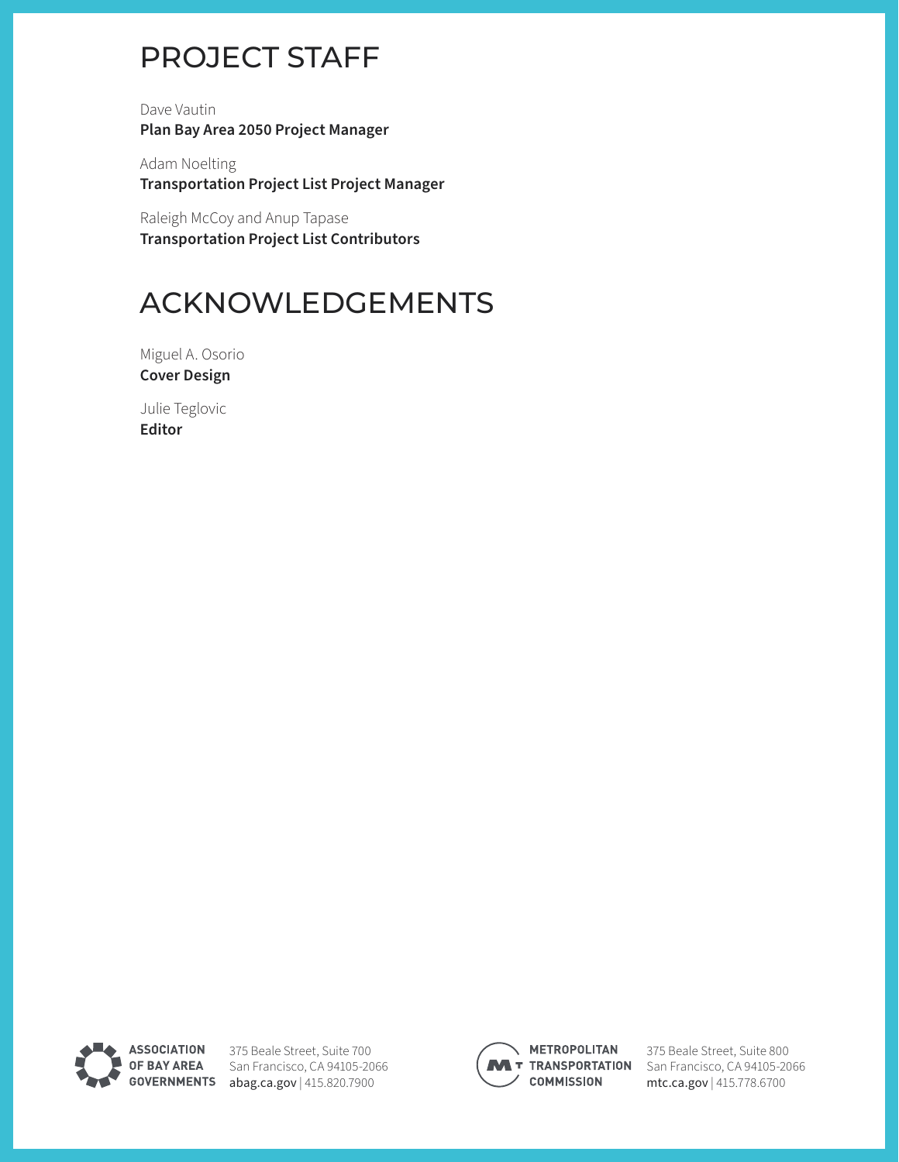# PROJECT STAFF

Dave Vautin **Plan Bay Area 2050 Project Manager** 

Adam Noelting **Transportation Project List Project Manager**

Raleigh McCoy and Anup Tapase **Transportation Project List Contributors** 

# ACKNOWLEDGEMENTS

Miguel A. Osorio **Cover Design**

Julie Teglovic **Editor**



375 Beale Street, Suite 700 OF BAY AREA San Francisco, CA 94105-2066 GOVERNMENTS [abag.ca.gov](http://www.abag.ca.gov) | 415.820.7900



**METROPOLITAN COMMISSION** 

375 Beale Street, Suite 800 **M** T TRANSPORTATION San Francisco, CA 94105-2066 [mtc.ca.gov](http://www.mtc.ca.gov) | 415.778.6700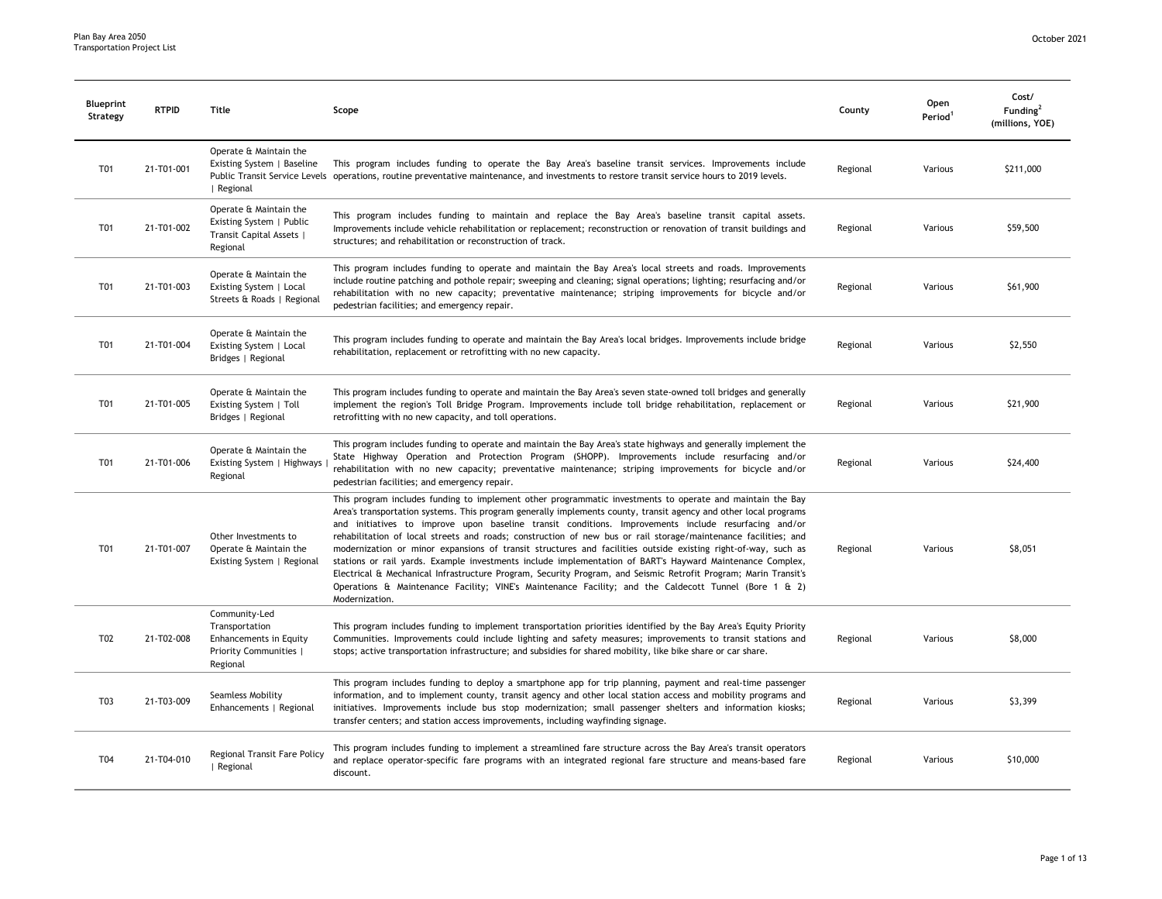| Blueprint<br>Strategy | <b>RTPID</b> | Title                                                                                           | Scope                                                                                                                                                                                                                                                                                                                                                                                                                                                                                                                                                                                                                                                                                                                                                                                                                                                                                                                               | County   | Open<br>Period <sup>1</sup> | Cost/<br>Funding <sup>2</sup><br>(millions, YOE) |
|-----------------------|--------------|-------------------------------------------------------------------------------------------------|-------------------------------------------------------------------------------------------------------------------------------------------------------------------------------------------------------------------------------------------------------------------------------------------------------------------------------------------------------------------------------------------------------------------------------------------------------------------------------------------------------------------------------------------------------------------------------------------------------------------------------------------------------------------------------------------------------------------------------------------------------------------------------------------------------------------------------------------------------------------------------------------------------------------------------------|----------|-----------------------------|--------------------------------------------------|
| T01                   | 21-T01-001   | Operate & Maintain the<br>Existing System   Baseline<br>  Regional                              | This program includes funding to operate the Bay Area's baseline transit services. Improvements include<br>Public Transit Service Levels operations, routine preventative maintenance, and investments to restore transit service hours to 2019 levels.                                                                                                                                                                                                                                                                                                                                                                                                                                                                                                                                                                                                                                                                             | Regional | Various                     | \$211,000                                        |
| T01                   | 21-T01-002   | Operate & Maintain the<br>Existing System   Public<br>Transit Capital Assets  <br>Regional      | This program includes funding to maintain and replace the Bay Area's baseline transit capital assets.<br>Improvements include vehicle rehabilitation or replacement; reconstruction or renovation of transit buildings and<br>structures; and rehabilitation or reconstruction of track.                                                                                                                                                                                                                                                                                                                                                                                                                                                                                                                                                                                                                                            | Regional | Various                     | \$59,500                                         |
| T01                   | 21-T01-003   | Operate & Maintain the<br>Existing System   Local<br>Streets & Roads   Regional                 | This program includes funding to operate and maintain the Bay Area's local streets and roads. Improvements<br>include routine patching and pothole repair; sweeping and cleaning; signal operations; lighting; resurfacing and/or<br>rehabilitation with no new capacity; preventative maintenance; striping improvements for bicycle and/or<br>pedestrian facilities; and emergency repair.                                                                                                                                                                                                                                                                                                                                                                                                                                                                                                                                        | Regional | Various                     | \$61,900                                         |
| T01                   | 21-T01-004   | Operate & Maintain the<br>Existing System   Local<br>Bridges   Regional                         | This program includes funding to operate and maintain the Bay Area's local bridges. Improvements include bridge<br>rehabilitation, replacement or retrofitting with no new capacity.                                                                                                                                                                                                                                                                                                                                                                                                                                                                                                                                                                                                                                                                                                                                                | Regional | Various                     | \$2,550                                          |
| T01                   | 21-T01-005   | Operate & Maintain the<br>Existing System   Toll<br>Bridges   Regional                          | This program includes funding to operate and maintain the Bay Area's seven state-owned toll bridges and generally<br>implement the region's Toll Bridge Program. Improvements include toll bridge rehabilitation, replacement or<br>retrofitting with no new capacity, and toll operations.                                                                                                                                                                                                                                                                                                                                                                                                                                                                                                                                                                                                                                         | Regional | Various                     | \$21,900                                         |
| T01                   | 21-T01-006   | Operate & Maintain the<br>Existing System   Highways<br>Regional                                | This program includes funding to operate and maintain the Bay Area's state highways and generally implement the<br>State Highway Operation and Protection Program (SHOPP). Improvements include resurfacing and/or<br>rehabilitation with no new capacity; preventative maintenance; striping improvements for bicycle and/or<br>pedestrian facilities; and emergency repair.                                                                                                                                                                                                                                                                                                                                                                                                                                                                                                                                                       | Regional | Various                     | \$24,400                                         |
| T01                   | 21-T01-007   | Other Investments to<br>Operate & Maintain the<br>Existing System   Regional                    | This program includes funding to implement other programmatic investments to operate and maintain the Bay<br>Area's transportation systems. This program generally implements county, transit agency and other local programs<br>and initiatives to improve upon baseline transit conditions. Improvements include resurfacing and/or<br>rehabilitation of local streets and roads; construction of new bus or rail storage/maintenance facilities; and<br>modernization or minor expansions of transit structures and facilities outside existing right-of-way, such as<br>stations or rail yards. Example investments include implementation of BART's Hayward Maintenance Complex,<br>Electrical & Mechanical Infrastructure Program, Security Program, and Seismic Retrofit Program; Marin Transit's<br>Operations & Maintenance Facility; VINE's Maintenance Facility; and the Caldecott Tunnel (Bore 1 & 2)<br>Modernization. | Regional | Various                     | \$8,051                                          |
| T <sub>0</sub> 2      | 21-T02-008   | Community-Led<br>Transportation<br>Enhancements in Equity<br>Priority Communities  <br>Regional | This program includes funding to implement transportation priorities identified by the Bay Area's Equity Priority<br>Communities. Improvements could include lighting and safety measures; improvements to transit stations and<br>stops; active transportation infrastructure; and subsidies for shared mobility, like bike share or car share.                                                                                                                                                                                                                                                                                                                                                                                                                                                                                                                                                                                    | Regional | Various                     | \$8,000                                          |
| T03                   | 21-T03-009   | Seamless Mobility<br>Enhancements   Regional                                                    | This program includes funding to deploy a smartphone app for trip planning, payment and real-time passenger<br>information, and to implement county, transit agency and other local station access and mobility programs and<br>initiatives. Improvements include bus stop modernization; small passenger shelters and information kiosks;<br>transfer centers; and station access improvements, including wayfinding signage.                                                                                                                                                                                                                                                                                                                                                                                                                                                                                                      | Regional | Various                     | \$3,399                                          |
| T04                   | 21-T04-010   | Regional Transit Fare Policy<br>  Regional                                                      | This program includes funding to implement a streamlined fare structure across the Bay Area's transit operators<br>and replace operator-specific fare programs with an integrated regional fare structure and means-based fare<br>discount.                                                                                                                                                                                                                                                                                                                                                                                                                                                                                                                                                                                                                                                                                         | Regional | Various                     | \$10,000                                         |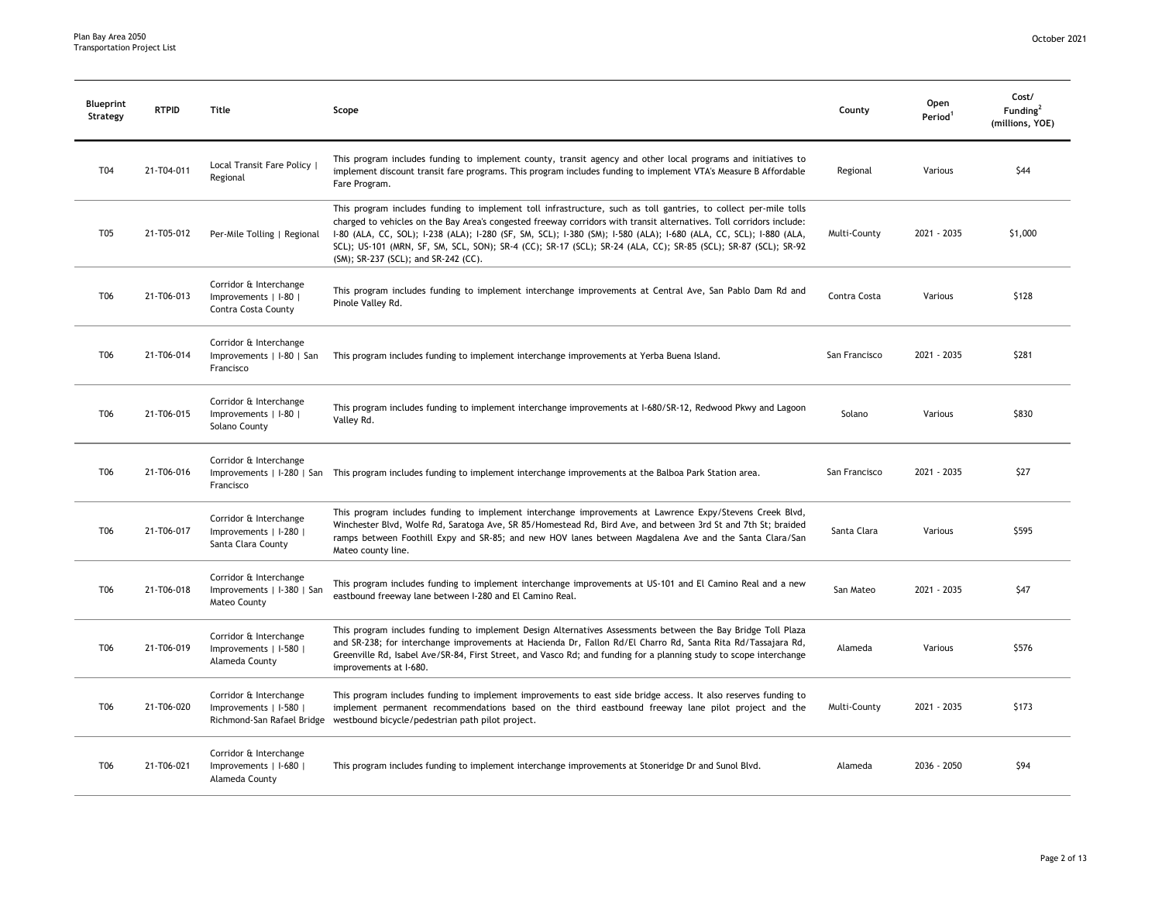| <b>Blueprint</b><br>Strategy | <b>RTPID</b> | Title                                                                  | Scope                                                                                                                                                                                                                                                                                                                                                                                                                                                                                                                   | County        | Open<br>Period <sup>1</sup> | Cost/<br>Funding <sup>2</sup><br>(millions, YOE) |
|------------------------------|--------------|------------------------------------------------------------------------|-------------------------------------------------------------------------------------------------------------------------------------------------------------------------------------------------------------------------------------------------------------------------------------------------------------------------------------------------------------------------------------------------------------------------------------------------------------------------------------------------------------------------|---------------|-----------------------------|--------------------------------------------------|
| T04                          | 21-T04-011   | Local Transit Fare Policy  <br>Regional                                | This program includes funding to implement county, transit agency and other local programs and initiatives to<br>implement discount transit fare programs. This program includes funding to implement VTA's Measure B Affordable<br>Fare Program.                                                                                                                                                                                                                                                                       | Regional      | Various                     | \$44                                             |
| T05                          | 21-T05-012   | Per-Mile Tolling   Regional                                            | This program includes funding to implement toll infrastructure, such as toll gantries, to collect per-mile tolls<br>charged to vehicles on the Bay Area's congested freeway corridors with transit alternatives. Toll corridors include:<br>1-80 (ALA, CC, SOL); 1-238 (ALA); 1-280 (SF, SM, SCL); 1-380 (SM); 1-580 (ALA); 1-680 (ALA, CC, SCL); 1-880 (ALA,<br>SCL); US-101 (MRN, SF, SM, SCL, SON); SR-4 (CC); SR-17 (SCL); SR-24 (ALA, CC); SR-85 (SCL); SR-87 (SCL); SR-92<br>(SM); SR-237 (SCL); and SR-242 (CC). | Multi-County  | 2021 - 2035                 | \$1,000                                          |
| T <sub>06</sub>              | 21-T06-013   | Corridor & Interchange<br>Improvements   I-80  <br>Contra Costa County | This program includes funding to implement interchange improvements at Central Ave, San Pablo Dam Rd and<br>Pinole Valley Rd.                                                                                                                                                                                                                                                                                                                                                                                           | Contra Costa  | Various                     | \$128                                            |
| T <sub>06</sub>              | 21-T06-014   | Corridor & Interchange<br>Improvements   I-80   San<br>Francisco       | This program includes funding to implement interchange improvements at Yerba Buena Island.                                                                                                                                                                                                                                                                                                                                                                                                                              | San Francisco | 2021 - 2035                 | \$281                                            |
| T <sub>06</sub>              | 21-T06-015   | Corridor & Interchange<br>Improvements   I-80  <br>Solano County       | This program includes funding to implement interchange improvements at I-680/SR-12, Redwood Pkwy and Lagoon<br>Valley Rd.                                                                                                                                                                                                                                                                                                                                                                                               | Solano        | Various                     | \$830                                            |
| T <sub>06</sub>              | 21-T06-016   | Corridor & Interchange<br>Francisco                                    | Improvements   I-280   San This program includes funding to implement interchange improvements at the Balboa Park Station area.                                                                                                                                                                                                                                                                                                                                                                                         | San Francisco | 2021 - 2035                 | \$27                                             |
| T <sub>06</sub>              | 21-T06-017   | Corridor & Interchange<br>Improvements   I-280  <br>Santa Clara County | This program includes funding to implement interchange improvements at Lawrence Expy/Stevens Creek Blvd,<br>Winchester Blvd, Wolfe Rd, Saratoga Ave, SR 85/Homestead Rd, Bird Ave, and between 3rd St and 7th St; braided<br>ramps between Foothill Expy and SR-85; and new HOV lanes between Magdalena Ave and the Santa Clara/San<br>Mateo county line.                                                                                                                                                               | Santa Clara   | Various                     | \$595                                            |
| T <sub>06</sub>              | 21-T06-018   | Corridor & Interchange<br>Improvements   I-380   San<br>Mateo County   | This program includes funding to implement interchange improvements at US-101 and El Camino Real and a new<br>eastbound freeway lane between I-280 and El Camino Real.                                                                                                                                                                                                                                                                                                                                                  | San Mateo     | 2021 - 2035                 | \$47                                             |
| T <sub>06</sub>              | 21-T06-019   | Corridor & Interchange<br>Improvements   I-580  <br>Alameda County     | This program includes funding to implement Design Alternatives Assessments between the Bay Bridge Toll Plaza<br>and SR-238; for interchange improvements at Hacienda Dr, Fallon Rd/El Charro Rd, Santa Rita Rd/Tassajara Rd,<br>Greenville Rd, Isabel Ave/SR-84, First Street, and Vasco Rd; and funding for a planning study to scope interchange<br>improvements at I-680.                                                                                                                                            | Alameda       | Various                     | \$576                                            |
| T <sub>06</sub>              | 21-T06-020   | Corridor & Interchange<br>Improvements   I-580                         | This program includes funding to implement improvements to east side bridge access. It also reserves funding to<br>implement permanent recommendations based on the third eastbound freeway lane pilot project and the<br>Richmond-San Rafael Bridge westbound bicycle/pedestrian path pilot project.                                                                                                                                                                                                                   | Multi-County  | 2021 - 2035                 | \$173                                            |
| T <sub>06</sub>              | 21-T06-021   | Corridor & Interchange<br>Improvements   I-680  <br>Alameda County     | This program includes funding to implement interchange improvements at Stoneridge Dr and Sunol Blvd.                                                                                                                                                                                                                                                                                                                                                                                                                    | Alameda       | 2036 - 2050                 | \$94                                             |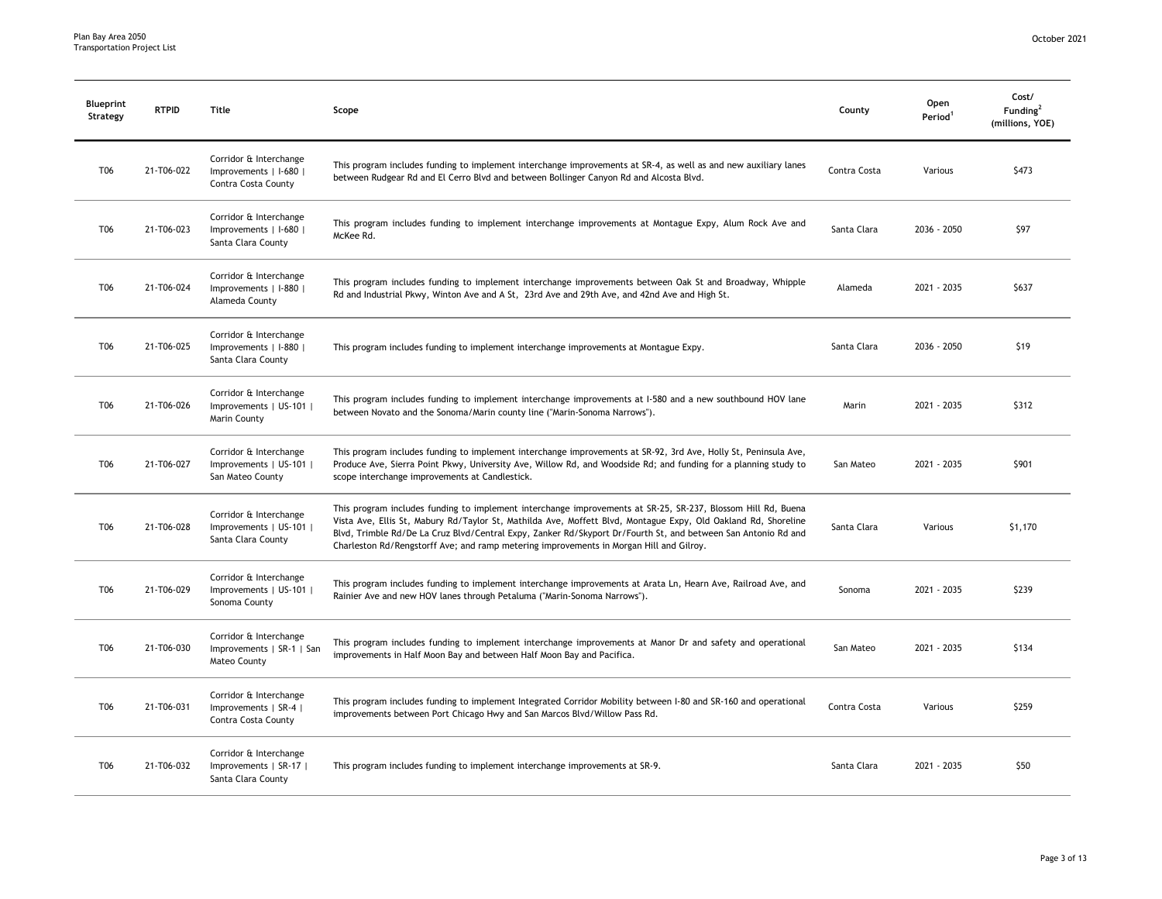| <b>Blueprint</b><br>Strategy | <b>RTPID</b> | Title                                                                   | Scope                                                                                                                                                                                                                                                                                                                                                                                                                                      | County       | Open<br>Period <sup>1</sup> | Cost/<br>Funding <sup>2</sup><br>(millions, YOE) |
|------------------------------|--------------|-------------------------------------------------------------------------|--------------------------------------------------------------------------------------------------------------------------------------------------------------------------------------------------------------------------------------------------------------------------------------------------------------------------------------------------------------------------------------------------------------------------------------------|--------------|-----------------------------|--------------------------------------------------|
| T06                          | 21-T06-022   | Corridor & Interchange<br>Improvements   I-680  <br>Contra Costa County | This program includes funding to implement interchange improvements at SR-4, as well as and new auxiliary lanes<br>between Rudgear Rd and El Cerro Blvd and between Bollinger Canyon Rd and Alcosta Blvd.                                                                                                                                                                                                                                  | Contra Costa | Various                     | \$473                                            |
| T06                          | 21-T06-023   | Corridor & Interchange<br>Improvements   I-680  <br>Santa Clara County  | This program includes funding to implement interchange improvements at Montague Expy, Alum Rock Ave and<br>McKee Rd.                                                                                                                                                                                                                                                                                                                       | Santa Clara  | 2036 - 2050                 | \$97                                             |
| T06                          | 21-T06-024   | Corridor & Interchange<br>Improvements   I-880  <br>Alameda County      | This program includes funding to implement interchange improvements between Oak St and Broadway, Whipple<br>Rd and Industrial Pkwy, Winton Ave and A St, 23rd Ave and 29th Ave, and 42nd Ave and High St.                                                                                                                                                                                                                                  | Alameda      | 2021 - 2035                 | \$637                                            |
| T06                          | 21-T06-025   | Corridor & Interchange<br>Improvements   I-880  <br>Santa Clara County  | This program includes funding to implement interchange improvements at Montague Expy.                                                                                                                                                                                                                                                                                                                                                      | Santa Clara  | 2036 - 2050                 | \$19                                             |
| T06                          | 21-T06-026   | Corridor & Interchange<br>Improvements   US-101  <br>Marin County       | This program includes funding to implement interchange improvements at 1-580 and a new southbound HOV lane<br>between Novato and the Sonoma/Marin county line ("Marin-Sonoma Narrows").                                                                                                                                                                                                                                                    | Marin        | 2021 - 2035                 | \$312                                            |
| T06                          | 21-T06-027   | Corridor & Interchange<br>Improvements   US-101  <br>San Mateo County   | This program includes funding to implement interchange improvements at SR-92, 3rd Ave, Holly St, Peninsula Ave,<br>Produce Ave, Sierra Point Pkwy, University Ave, Willow Rd, and Woodside Rd; and funding for a planning study to<br>scope interchange improvements at Candlestick.                                                                                                                                                       | San Mateo    | 2021 - 2035                 | \$901                                            |
| T06                          | 21-T06-028   | Corridor & Interchange<br>Improvements   US-101  <br>Santa Clara County | This program includes funding to implement interchange improvements at SR-25, SR-237, Blossom Hill Rd, Buena<br>Vista Ave, Ellis St, Mabury Rd/Taylor St, Mathilda Ave, Moffett Blvd, Montague Expy, Old Oakland Rd, Shoreline<br>Blvd, Trimble Rd/De La Cruz Blvd/Central Expy, Zanker Rd/Skyport Dr/Fourth St, and between San Antonio Rd and<br>Charleston Rd/Rengstorff Ave; and ramp metering improvements in Morgan Hill and Gilroy. | Santa Clara  | Various                     | \$1,170                                          |
| T06                          | 21-T06-029   | Corridor & Interchange<br>Improvements   US-101  <br>Sonoma County      | This program includes funding to implement interchange improvements at Arata Ln, Hearn Ave, Railroad Ave, and<br>Rainier Ave and new HOV lanes through Petaluma ("Marin-Sonoma Narrows").                                                                                                                                                                                                                                                  | Sonoma       | 2021 - 2035                 | \$239                                            |
| T06                          | 21-T06-030   | Corridor & Interchange<br>Improvements   SR-1   San<br>Mateo County     | This program includes funding to implement interchange improvements at Manor Dr and safety and operational<br>improvements in Half Moon Bay and between Half Moon Bay and Pacifica.                                                                                                                                                                                                                                                        | San Mateo    | 2021 - 2035                 | \$134                                            |
| T06                          | 21-T06-031   | Corridor & Interchange<br>Improvements   SR-4  <br>Contra Costa County  | This program includes funding to implement Integrated Corridor Mobility between I-80 and SR-160 and operational<br>improvements between Port Chicago Hwy and San Marcos Blvd/Willow Pass Rd.                                                                                                                                                                                                                                               | Contra Costa | Various                     | \$259                                            |
| T06                          | 21-T06-032   | Corridor & Interchange<br>Improvements   SR-17  <br>Santa Clara County  | This program includes funding to implement interchange improvements at SR-9.                                                                                                                                                                                                                                                                                                                                                               | Santa Clara  | 2021 - 2035                 | \$50                                             |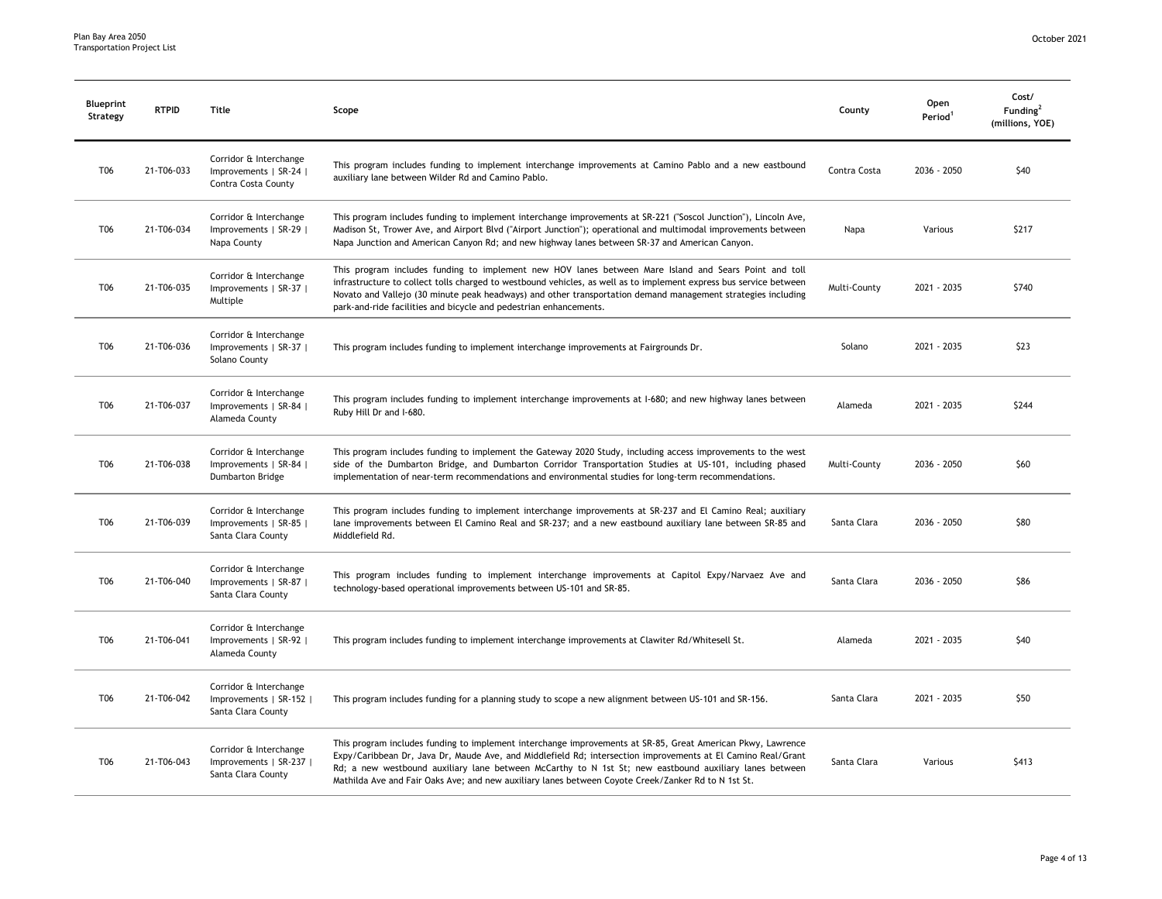| <b>Blueprint</b><br>Strategy | <b>RTPID</b> | Title                                                                   | Scope                                                                                                                                                                                                                                                                                                                                                                                                                                        | County       | Open<br>Period <sup>1</sup> | Cost/<br>Funding <sup>2</sup><br>(millions, YOE) |
|------------------------------|--------------|-------------------------------------------------------------------------|----------------------------------------------------------------------------------------------------------------------------------------------------------------------------------------------------------------------------------------------------------------------------------------------------------------------------------------------------------------------------------------------------------------------------------------------|--------------|-----------------------------|--------------------------------------------------|
| T06                          | 21-T06-033   | Corridor & Interchange<br>Improvements   SR-24  <br>Contra Costa County | This program includes funding to implement interchange improvements at Camino Pablo and a new eastbound<br>auxiliary lane between Wilder Rd and Camino Pablo.                                                                                                                                                                                                                                                                                | Contra Costa | 2036 - 2050                 | \$40                                             |
| T06                          | 21-T06-034   | Corridor & Interchange<br>Improvements   SR-29  <br>Napa County         | This program includes funding to implement interchange improvements at SR-221 ("Soscol Junction"), Lincoln Ave,<br>Madison St, Trower Ave, and Airport Blvd ("Airport Junction"); operational and multimodal improvements between<br>Napa Junction and American Canyon Rd; and new highway lanes between SR-37 and American Canyon.                                                                                                          | Napa         | Various                     | \$217                                            |
| T06                          | 21-T06-035   | Corridor & Interchange<br>Improvements   SR-37  <br>Multiple            | This program includes funding to implement new HOV lanes between Mare Island and Sears Point and toll<br>infrastructure to collect tolls charged to westbound vehicles, as well as to implement express bus service between<br>Novato and Vallejo (30 minute peak headways) and other transportation demand management strategies including<br>park-and-ride facilities and bicycle and pedestrian enhancements.                             | Multi-County | 2021 - 2035                 | \$740                                            |
| T06                          | 21-T06-036   | Corridor & Interchange<br>Improvements   SR-37  <br>Solano County       | This program includes funding to implement interchange improvements at Fairgrounds Dr.                                                                                                                                                                                                                                                                                                                                                       | Solano       | 2021 - 2035                 | \$23                                             |
| T06                          | 21-T06-037   | Corridor & Interchange<br>Improvements   SR-84  <br>Alameda County      | This program includes funding to implement interchange improvements at 1-680; and new highway lanes between<br>Ruby Hill Dr and I-680.                                                                                                                                                                                                                                                                                                       | Alameda      | 2021 - 2035                 | \$244                                            |
| T06                          | 21-T06-038   | Corridor & Interchange<br>Improvements   SR-84  <br>Dumbarton Bridge    | This program includes funding to implement the Gateway 2020 Study, including access improvements to the west<br>side of the Dumbarton Bridge, and Dumbarton Corridor Transportation Studies at US-101, including phased<br>implementation of near-term recommendations and environmental studies for long-term recommendations.                                                                                                              | Multi-County | 2036 - 2050                 | \$60                                             |
| T06                          | 21-T06-039   | Corridor & Interchange<br>Improvements   SR-85  <br>Santa Clara County  | This program includes funding to implement interchange improvements at SR-237 and El Camino Real; auxiliary<br>lane improvements between El Camino Real and SR-237; and a new eastbound auxiliary lane between SR-85 and<br>Middlefield Rd.                                                                                                                                                                                                  | Santa Clara  | 2036 - 2050                 | \$80                                             |
| T06                          | 21-T06-040   | Corridor & Interchange<br>Improvements   SR-87  <br>Santa Clara County  | This program includes funding to implement interchange improvements at Capitol Expy/Narvaez Ave and<br>technology-based operational improvements between US-101 and SR-85.                                                                                                                                                                                                                                                                   | Santa Clara  | 2036 - 2050                 | \$86                                             |
| T06                          | 21-T06-041   | Corridor & Interchange<br>Improvements   SR-92  <br>Alameda County      | This program includes funding to implement interchange improvements at Clawiter Rd/Whitesell St.                                                                                                                                                                                                                                                                                                                                             | Alameda      | 2021 - 2035                 | \$40                                             |
| T06                          | 21-T06-042   | Corridor & Interchange<br>Improvements   SR-152  <br>Santa Clara County | This program includes funding for a planning study to scope a new alignment between US-101 and SR-156.                                                                                                                                                                                                                                                                                                                                       | Santa Clara  | 2021 - 2035                 | \$50                                             |
| T06                          | 21-T06-043   | Corridor & Interchange<br>Improvements   SR-237  <br>Santa Clara County | This program includes funding to implement interchange improvements at SR-85, Great American Pkwy, Lawrence<br>Expy/Caribbean Dr, Java Dr, Maude Ave, and Middlefield Rd; intersection improvements at El Camino Real/Grant<br>Rd; a new westbound auxiliary lane between McCarthy to N 1st St; new eastbound auxiliary lanes between<br>Mathilda Ave and Fair Oaks Ave; and new auxiliary lanes between Coyote Creek/Zanker Rd to N 1st St. | Santa Clara  | Various                     | \$413                                            |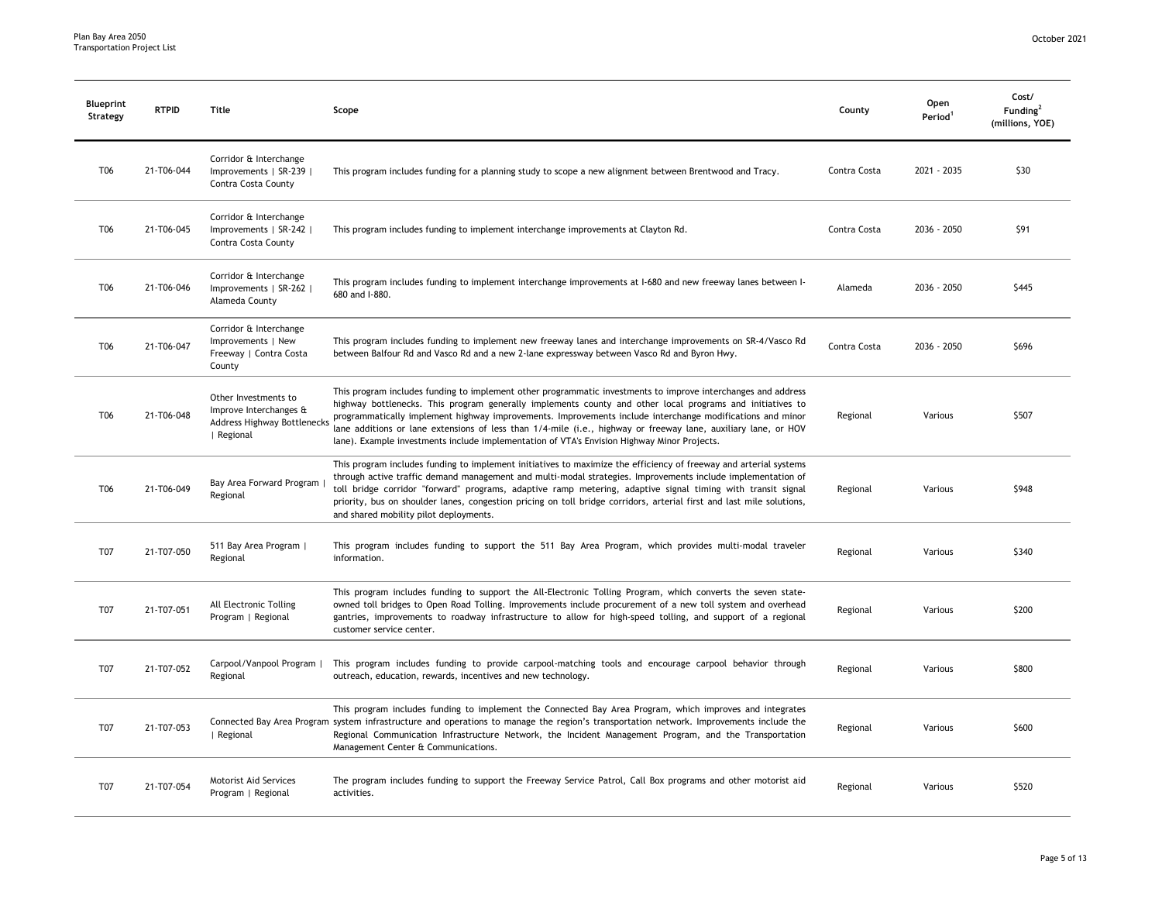| <b>Blueprint</b><br>Strategy | <b>RTPID</b> | Title                                                                                              | Scope                                                                                                                                                                                                                                                                                                                                                                                                                                                                                                                                                    | County       | Open<br>Period <sup>1</sup> | Cost/<br>Funding <sup>2</sup><br>(millions, YOE) |
|------------------------------|--------------|----------------------------------------------------------------------------------------------------|----------------------------------------------------------------------------------------------------------------------------------------------------------------------------------------------------------------------------------------------------------------------------------------------------------------------------------------------------------------------------------------------------------------------------------------------------------------------------------------------------------------------------------------------------------|--------------|-----------------------------|--------------------------------------------------|
| T06                          | 21-T06-044   | Corridor & Interchange<br>Improvements   SR-239  <br>Contra Costa County                           | This program includes funding for a planning study to scope a new alignment between Brentwood and Tracy.                                                                                                                                                                                                                                                                                                                                                                                                                                                 | Contra Costa | 2021 - 2035                 | \$30                                             |
| T <sub>06</sub>              | 21-T06-045   | Corridor & Interchange<br>Improvements   SR-242  <br>Contra Costa County                           | This program includes funding to implement interchange improvements at Clayton Rd.                                                                                                                                                                                                                                                                                                                                                                                                                                                                       | Contra Costa | 2036 - 2050                 | \$91                                             |
| T06                          | 21-T06-046   | Corridor & Interchange<br>Improvements   SR-262  <br>Alameda County                                | This program includes funding to implement interchange improvements at I-680 and new freeway lanes between I-<br>680 and I-880.                                                                                                                                                                                                                                                                                                                                                                                                                          | Alameda      | 2036 - 2050                 | \$445                                            |
| T06                          | 21-T06-047   | Corridor & Interchange<br>Improvements   New<br>Freeway   Contra Costa<br>County                   | This program includes funding to implement new freeway lanes and interchange improvements on SR-4/Vasco Rd<br>between Balfour Rd and Vasco Rd and a new 2-lane expressway between Vasco Rd and Byron Hwy.                                                                                                                                                                                                                                                                                                                                                | Contra Costa | 2036 - 2050                 | \$696                                            |
| T06                          | 21-T06-048   | Other Investments to<br>Improve Interchanges &<br><b>Address Highway Bottlenecks</b><br>  Regional | This program includes funding to implement other programmatic investments to improve interchanges and address<br>highway bottlenecks. This program generally implements county and other local programs and initiatives to<br>programmatically implement highway improvements. Improvements include interchange modifications and minor<br>lane additions or lane extensions of less than 1/4-mile (i.e., highway or freeway lane, auxiliary lane, or HOV<br>lane). Example investments include implementation of VTA's Envision Highway Minor Projects. | Regional     | Various                     | \$507                                            |
| T06                          | 21-T06-049   | Bay Area Forward Program<br>Regional                                                               | This program includes funding to implement initiatives to maximize the efficiency of freeway and arterial systems<br>through active traffic demand management and multi-modal strategies. Improvements include implementation of<br>toll bridge corridor "forward" programs, adaptive ramp metering, adaptive signal timing with transit signal<br>priority, bus on shoulder lanes, congestion pricing on toll bridge corridors, arterial first and last mile solutions,<br>and shared mobility pilot deployments.                                       | Regional     | Various                     | \$948                                            |
| T07                          | 21-T07-050   | 511 Bay Area Program  <br>Regional                                                                 | This program includes funding to support the 511 Bay Area Program, which provides multi-modal traveler<br>information.                                                                                                                                                                                                                                                                                                                                                                                                                                   | Regional     | Various                     | \$340                                            |
| T07                          | 21-T07-051   | All Electronic Tolling<br>Program   Regional                                                       | This program includes funding to support the All-Electronic Tolling Program, which converts the seven state-<br>owned toll bridges to Open Road Tolling. Improvements include procurement of a new toll system and overhead<br>gantries, improvements to roadway infrastructure to allow for high-speed tolling, and support of a regional<br>customer service center.                                                                                                                                                                                   | Regional     | Various                     | \$200                                            |
| T07                          | 21-T07-052   | Carpool/Vanpool Program  <br>Regional                                                              | This program includes funding to provide carpool-matching tools and encourage carpool behavior through<br>outreach, education, rewards, incentives and new technology.                                                                                                                                                                                                                                                                                                                                                                                   | Regional     | Various                     | \$800                                            |
| T07                          | 21-T07-053   | Regional                                                                                           | This program includes funding to implement the Connected Bay Area Program, which improves and integrates<br>Connected Bay Area Program system infrastructure and operations to manage the region's transportation network. Improvements include the<br>Regional Communication Infrastructure Network, the Incident Management Program, and the Transportation<br>Management Center & Communications.                                                                                                                                                     | Regional     | Various                     | \$600                                            |
| T07                          | 21-T07-054   | Motorist Aid Services<br>Program   Regional                                                        | The program includes funding to support the Freeway Service Patrol, Call Box programs and other motorist aid<br>activities.                                                                                                                                                                                                                                                                                                                                                                                                                              | Regional     | Various                     | \$520                                            |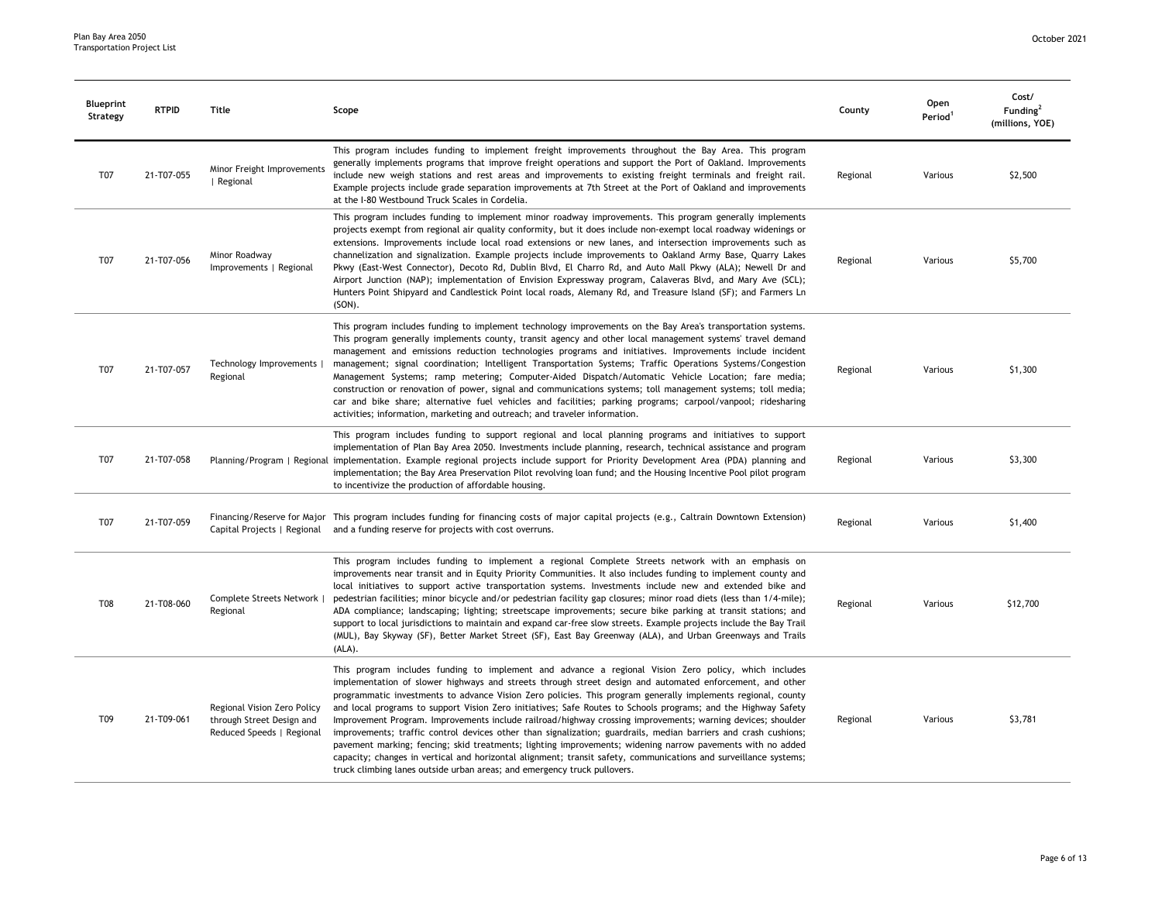| <b>Blueprint</b><br>Strategy | <b>RTPID</b> | Title                                                                                 | Scope                                                                                                                                                                                                                                                                                                                                                                                                                                                                                                                                                                                                                                                                                                                                                                                                                                                                                                                                                                                              | County   | Open<br>Period <sup>1</sup> | Cost/<br>Funding <sup>2</sup><br>(millions, YOE) |
|------------------------------|--------------|---------------------------------------------------------------------------------------|----------------------------------------------------------------------------------------------------------------------------------------------------------------------------------------------------------------------------------------------------------------------------------------------------------------------------------------------------------------------------------------------------------------------------------------------------------------------------------------------------------------------------------------------------------------------------------------------------------------------------------------------------------------------------------------------------------------------------------------------------------------------------------------------------------------------------------------------------------------------------------------------------------------------------------------------------------------------------------------------------|----------|-----------------------------|--------------------------------------------------|
| <b>T07</b>                   | 21-T07-055   | Minor Freight Improvements<br>  Regional                                              | This program includes funding to implement freight improvements throughout the Bay Area. This program<br>generally implements programs that improve freight operations and support the Port of Oakland. Improvements<br>include new weigh stations and rest areas and improvements to existing freight terminals and freight rail.<br>Example projects include grade separation improvements at 7th Street at the Port of Oakland and improvements<br>at the I-80 Westbound Truck Scales in Cordelia.                                                                                                                                                                                                                                                                                                                                                                                                                                                                                              | Regional | Various                     | \$2,500                                          |
| T <sub>07</sub>              | 21-T07-056   | Minor Roadway<br>Improvements   Regional                                              | This program includes funding to implement minor roadway improvements. This program generally implements<br>projects exempt from regional air quality conformity, but it does include non-exempt local roadway widenings or<br>extensions. Improvements include local road extensions or new lanes, and intersection improvements such as<br>channelization and signalization. Example projects include improvements to Oakland Army Base, Quarry Lakes<br>Pkwy (East-West Connector), Decoto Rd, Dublin Blvd, El Charro Rd, and Auto Mall Pkwy (ALA); Newell Dr and<br>Airport Junction (NAP); implementation of Envision Expressway program, Calaveras Blvd, and Mary Ave (SCL);<br>Hunters Point Shipyard and Candlestick Point local roads, Alemany Rd, and Treasure Island (SF); and Farmers Ln<br>(SON).                                                                                                                                                                                     | Regional | Various                     | \$5,700                                          |
| T07                          | 21-T07-057   | Technology Improvements  <br>Regional                                                 | This program includes funding to implement technology improvements on the Bay Area's transportation systems.<br>This program generally implements county, transit agency and other local management systems' travel demand<br>management and emissions reduction technologies programs and initiatives. Improvements include incident<br>management; signal coordination; Intelligent Transportation Systems; Traffic Operations Systems/Congestion<br>Management Systems; ramp metering; Computer-Aided Dispatch/Automatic Vehicle Location; fare media;<br>construction or renovation of power, signal and communications systems; toll management systems; toll media;<br>car and bike share; alternative fuel vehicles and facilities; parking programs; carpool/vanpool; ridesharing<br>activities; information, marketing and outreach; and traveler information.                                                                                                                            | Regional | Various                     | \$1,300                                          |
| T07                          | 21-T07-058   |                                                                                       | This program includes funding to support regional and local planning programs and initiatives to support<br>implementation of Plan Bay Area 2050. Investments include planning, research, technical assistance and program<br>Planning/Program   Regional implementation. Example regional projects include support for Priority Development Area (PDA) planning and<br>implementation; the Bay Area Preservation Pilot revolving loan fund; and the Housing Incentive Pool pilot program<br>to incentivize the production of affordable housing.                                                                                                                                                                                                                                                                                                                                                                                                                                                  | Regional | Various                     | \$3,300                                          |
| T07                          | 21-T07-059   | Capital Projects   Regional                                                           | Financing/Reserve for Major This program includes funding for financing costs of major capital projects (e.g., Caltrain Downtown Extension)<br>and a funding reserve for projects with cost overruns.                                                                                                                                                                                                                                                                                                                                                                                                                                                                                                                                                                                                                                                                                                                                                                                              | Regional | Various                     | \$1,400                                          |
| <b>T08</b>                   | 21-T08-060   | Complete Streets Network  <br>Regional                                                | This program includes funding to implement a regional Complete Streets network with an emphasis on<br>improvements near transit and in Equity Priority Communities. It also includes funding to implement county and<br>local initiatives to support active transportation systems. Investments include new and extended bike and<br>pedestrian facilities; minor bicycle and/or pedestrian facility gap closures; minor road diets (less than 1/4-mile);<br>ADA compliance; landscaping; lighting; streetscape improvements; secure bike parking at transit stations; and<br>support to local jurisdictions to maintain and expand car-free slow streets. Example projects include the Bay Trail<br>(MUL), Bay Skyway (SF), Better Market Street (SF), East Bay Greenway (ALA), and Urban Greenways and Trails<br>(ALA).                                                                                                                                                                          | Regional | Various                     | \$12,700                                         |
| T09                          | 21-T09-061   | Regional Vision Zero Policy<br>through Street Design and<br>Reduced Speeds   Regional | This program includes funding to implement and advance a regional Vision Zero policy, which includes<br>implementation of slower highways and streets through street design and automated enforcement, and other<br>programmatic investments to advance Vision Zero policies. This program generally implements regional, county<br>and local programs to support Vision Zero initiatives; Safe Routes to Schools programs; and the Highway Safety<br>Improvement Program. Improvements include railroad/highway crossing improvements; warning devices; shoulder<br>improvements; traffic control devices other than signalization; guardrails, median barriers and crash cushions;<br>pavement marking; fencing; skid treatments; lighting improvements; widening narrow pavements with no added<br>capacity; changes in vertical and horizontal alignment; transit safety, communications and surveillance systems;<br>truck climbing lanes outside urban areas; and emergency truck pullovers. | Regional | Various                     | \$3,781                                          |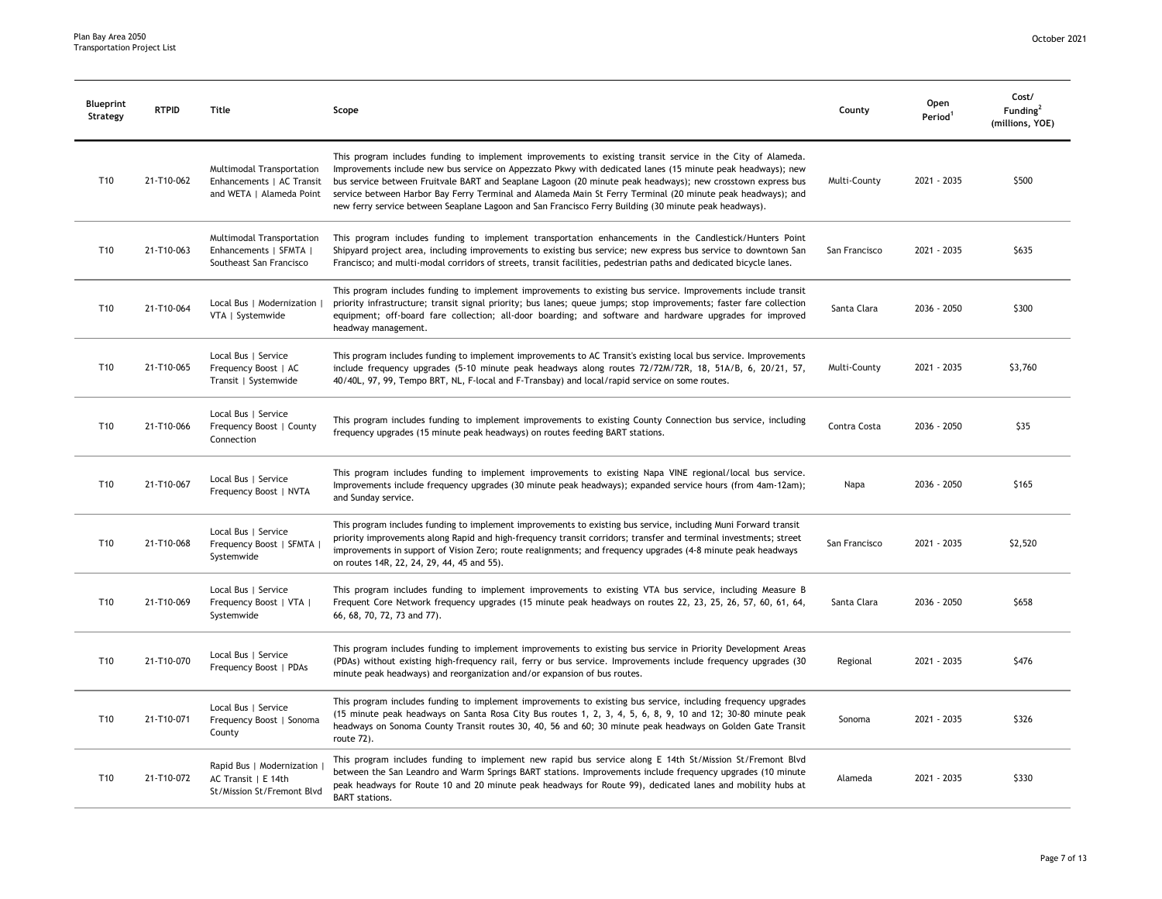| Blueprint<br>Strategy | <b>RTPID</b> | Title                                                                              | Scope                                                                                                                                                                                                                                                                                                                                                                                                                                                                                                                                                            | County        | Open<br>Period <sup>1</sup> | Cost/<br>Funding <sup>2</sup><br>(millions, YOE) |
|-----------------------|--------------|------------------------------------------------------------------------------------|------------------------------------------------------------------------------------------------------------------------------------------------------------------------------------------------------------------------------------------------------------------------------------------------------------------------------------------------------------------------------------------------------------------------------------------------------------------------------------------------------------------------------------------------------------------|---------------|-----------------------------|--------------------------------------------------|
| T <sub>10</sub>       | 21-T10-062   | Multimodal Transportation<br>Enhancements   AC Transit<br>and WETA   Alameda Point | This program includes funding to implement improvements to existing transit service in the City of Alameda.<br>Improvements include new bus service on Appezzato Pkwy with dedicated lanes (15 minute peak headways); new<br>bus service between Fruitvale BART and Seaplane Lagoon (20 minute peak headways); new crosstown express bus<br>service between Harbor Bay Ferry Terminal and Alameda Main St Ferry Terminal (20 minute peak headways); and<br>new ferry service between Seaplane Lagoon and San Francisco Ferry Building (30 minute peak headways). | Multi-County  | 2021 - 2035                 | \$500                                            |
| T10                   | 21-T10-063   | Multimodal Transportation<br>Enhancements   SFMTA  <br>Southeast San Francisco     | This program includes funding to implement transportation enhancements in the Candlestick/Hunters Point<br>Shipyard project area, including improvements to existing bus service; new express bus service to downtown San<br>Francisco; and multi-modal corridors of streets, transit facilities, pedestrian paths and dedicated bicycle lanes.                                                                                                                                                                                                                  | San Francisco | 2021 - 2035                 | \$635                                            |
| T10                   | 21-T10-064   | Local Bus   Modernization  <br>VTA   Systemwide                                    | This program includes funding to implement improvements to existing bus service. Improvements include transit<br>priority infrastructure; transit signal priority; bus lanes; queue jumps; stop improvements; faster fare collection<br>equipment; off-board fare collection; all-door boarding; and software and hardware upgrades for improved<br>headway management.                                                                                                                                                                                          | Santa Clara   | 2036 - 2050                 | \$300                                            |
| T10                   | 21-T10-065   | Local Bus   Service<br>Frequency Boost   AC<br>Transit   Systemwide                | This program includes funding to implement improvements to AC Transit's existing local bus service. Improvements<br>include frequency upgrades (5-10 minute peak headways along routes 72/72M/72R, 18, 51A/B, 6, 20/21, 57,<br>40/40L, 97, 99, Tempo BRT, NL, F-local and F-Transbay) and local/rapid service on some routes.                                                                                                                                                                                                                                    | Multi-County  | 2021 - 2035                 | \$3,760                                          |
| T10                   | 21-T10-066   | Local Bus   Service<br>Frequency Boost   County<br>Connection                      | This program includes funding to implement improvements to existing County Connection bus service, including<br>frequency upgrades (15 minute peak headways) on routes feeding BART stations.                                                                                                                                                                                                                                                                                                                                                                    | Contra Costa  | 2036 - 2050                 | \$35                                             |
| T10                   | 21-T10-067   | Local Bus   Service<br>Frequency Boost   NVTA                                      | This program includes funding to implement improvements to existing Napa VINE regional/local bus service.<br>Improvements include frequency upgrades (30 minute peak headways); expanded service hours (from 4am-12am);<br>and Sunday service.                                                                                                                                                                                                                                                                                                                   | Napa          | 2036 - 2050                 | \$165                                            |
| T10                   | 21-T10-068   | Local Bus   Service<br>Frequency Boost   SFMTA<br>Systemwide                       | This program includes funding to implement improvements to existing bus service, including Muni Forward transit<br>priority improvements along Rapid and high-frequency transit corridors; transfer and terminal investments; street<br>improvements in support of Vision Zero; route realignments; and frequency upgrades (4-8 minute peak headways<br>on routes 14R, 22, 24, 29, 44, 45 and 55).                                                                                                                                                               | San Francisco | 2021 - 2035                 | \$2,520                                          |
| T10                   | 21-T10-069   | Local Bus   Service<br>Frequency Boost   VTA  <br>Systemwide                       | This program includes funding to implement improvements to existing VTA bus service, including Measure B<br>Frequent Core Network frequency upgrades (15 minute peak headways on routes 22, 23, 25, 26, 57, 60, 61, 64,<br>66, 68, 70, 72, 73 and 77).                                                                                                                                                                                                                                                                                                           | Santa Clara   | 2036 - 2050                 | \$658                                            |
| T10                   | 21-T10-070   | Local Bus   Service<br>Frequency Boost   PDAs                                      | This program includes funding to implement improvements to existing bus service in Priority Development Areas<br>(PDAs) without existing high-frequency rail, ferry or bus service. Improvements include frequency upgrades (30<br>minute peak headways) and reorganization and/or expansion of bus routes.                                                                                                                                                                                                                                                      | Regional      | 2021 - 2035                 | \$476                                            |
| T <sub>10</sub>       | 21-T10-071   | Local Bus   Service<br>Frequency Boost   Sonoma<br>County                          | This program includes funding to implement improvements to existing bus service, including frequency upgrades<br>(15 minute peak headways on Santa Rosa City Bus routes 1, 2, 3, 4, 5, 6, 8, 9, 10 and 12; 30-80 minute peak<br>headways on Sonoma County Transit routes 30, 40, 56 and 60; 30 minute peak headways on Golden Gate Transit<br>route 72).                                                                                                                                                                                                         | Sonoma        | 2021 - 2035                 | \$326                                            |
| T <sub>10</sub>       | 21-T10-072   | Rapid Bus   Modernization<br>AC Transit   E 14th<br>St/Mission St/Fremont Blvd     | This program includes funding to implement new rapid bus service along E 14th St/Mission St/Fremont Blvd<br>between the San Leandro and Warm Springs BART stations. Improvements include frequency upgrades (10 minute<br>peak headways for Route 10 and 20 minute peak headways for Route 99), dedicated lanes and mobility hubs at<br><b>BART</b> stations.                                                                                                                                                                                                    | Alameda       | 2021 - 2035                 | \$330                                            |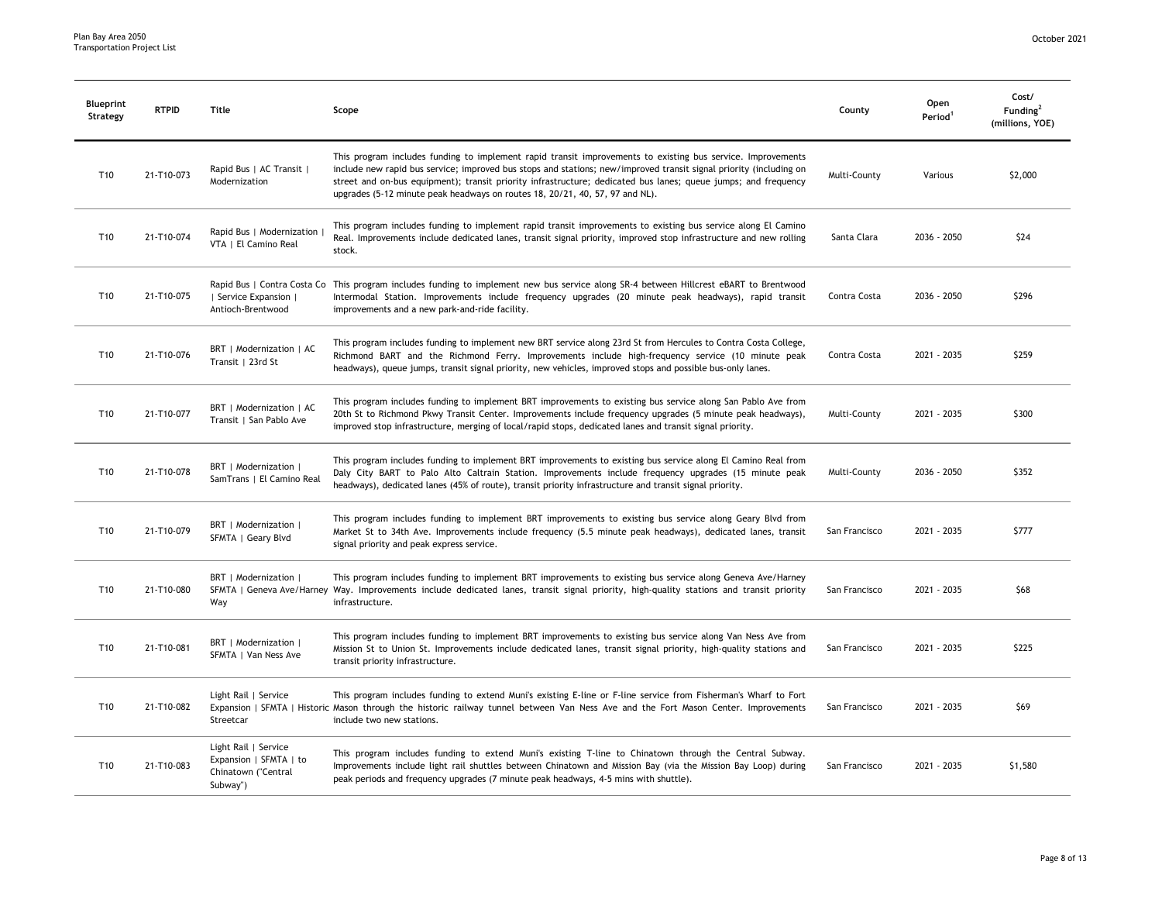| <b>Blueprint</b><br>Strategy | <b>RTPID</b> | Title                                                                             | Scope                                                                                                                                                                                                                                                                                                                                                                                                                               | County        | Open<br>Period <sup>1</sup> | Cost/<br>Funding <sup>2</sup><br>(millions, YOE) |
|------------------------------|--------------|-----------------------------------------------------------------------------------|-------------------------------------------------------------------------------------------------------------------------------------------------------------------------------------------------------------------------------------------------------------------------------------------------------------------------------------------------------------------------------------------------------------------------------------|---------------|-----------------------------|--------------------------------------------------|
| T10                          | 21-T10-073   | Rapid Bus   AC Transit  <br>Modernization                                         | This program includes funding to implement rapid transit improvements to existing bus service. Improvements<br>include new rapid bus service; improved bus stops and stations; new/improved transit signal priority (including on<br>street and on-bus equipment); transit priority infrastructure; dedicated bus lanes; queue jumps; and frequency<br>upgrades (5-12 minute peak headways on routes 18, 20/21, 40, 57, 97 and NL). | Multi-County  | Various                     | \$2,000                                          |
| T10                          | 21-T10-074   | Rapid Bus   Modernization<br>VTA   El Camino Real                                 | This program includes funding to implement rapid transit improvements to existing bus service along El Camino<br>Real. Improvements include dedicated lanes, transit signal priority, improved stop infrastructure and new rolling<br>stock.                                                                                                                                                                                        | Santa Clara   | 2036 - 2050                 | \$24                                             |
| T10                          | 21-T10-075   | Service Expansion  <br>Antioch-Brentwood                                          | Rapid Bus   Contra Costa Co This program includes funding to implement new bus service along SR-4 between Hillcrest eBART to Brentwood<br>Intermodal Station. Improvements include frequency upgrades (20 minute peak headways), rapid transit<br>improvements and a new park-and-ride facility.                                                                                                                                    | Contra Costa  | 2036 - 2050                 | \$296                                            |
| T <sub>10</sub>              | 21-T10-076   | BRT   Modernization   AC<br>Transit   23rd St                                     | This program includes funding to implement new BRT service along 23rd St from Hercules to Contra Costa College,<br>Richmond BART and the Richmond Ferry. Improvements include high-frequency service (10 minute peak<br>headways), queue jumps, transit signal priority, new vehicles, improved stops and possible bus-only lanes.                                                                                                  | Contra Costa  | 2021 - 2035                 | \$259                                            |
| T <sub>10</sub>              | 21-T10-077   | BRT   Modernization   AC<br>Transit   San Pablo Ave                               | This program includes funding to implement BRT improvements to existing bus service along San Pablo Ave from<br>20th St to Richmond Pkwy Transit Center. Improvements include frequency upgrades (5 minute peak headways),<br>improved stop infrastructure, merging of local/rapid stops, dedicated lanes and transit signal priority.                                                                                              | Multi-County  | 2021 - 2035                 | \$300                                            |
| T <sub>10</sub>              | 21-T10-078   | BRT   Modernization  <br>SamTrans   El Camino Real                                | This program includes funding to implement BRT improvements to existing bus service along El Camino Real from<br>Daly City BART to Palo Alto Caltrain Station. Improvements include frequency upgrades (15 minute peak<br>headways), dedicated lanes (45% of route), transit priority infrastructure and transit signal priority.                                                                                                   | Multi-County  | 2036 - 2050                 | \$352                                            |
| T10                          | 21-T10-079   | BRT   Modernization  <br>SFMTA   Geary Blvd                                       | This program includes funding to implement BRT improvements to existing bus service along Geary Blvd from<br>Market St to 34th Ave. Improvements include frequency (5.5 minute peak headways), dedicated lanes, transit<br>signal priority and peak express service.                                                                                                                                                                | San Francisco | 2021 - 2035                 | \$777                                            |
| T <sub>10</sub>              | 21-T10-080   | BRT   Modernization<br>Way                                                        | This program includes funding to implement BRT improvements to existing bus service along Geneva Ave/Harney<br>SFMTA   Geneva Ave/Harney Way. Improvements include dedicated lanes, transit signal priority, high-quality stations and transit priority<br>infrastructure.                                                                                                                                                          | San Francisco | 2021 - 2035                 | \$68                                             |
| T <sub>10</sub>              | 21-T10-081   | BRT   Modernization  <br>SFMTA   Van Ness Ave                                     | This program includes funding to implement BRT improvements to existing bus service along Van Ness Ave from<br>Mission St to Union St. Improvements include dedicated lanes, transit signal priority, high-quality stations and<br>transit priority infrastructure.                                                                                                                                                                 | San Francisco | 2021 - 2035                 | \$225                                            |
| T10                          | 21-T10-082   | Light Rail   Service<br>Streetcar                                                 | This program includes funding to extend Muni's existing E-line or F-line service from Fisherman's Wharf to Fort<br>Expansion   SFMTA   Historic Mason through the historic railway tunnel between Van Ness Ave and the Fort Mason Center. Improvements<br>include two new stations.                                                                                                                                                 | San Francisco | 2021 - 2035                 | \$69                                             |
| T <sub>10</sub>              | 21-T10-083   | Light Rail   Service<br>Expansion   SFMTA   to<br>Chinatown ("Central<br>Subway") | This program includes funding to extend Muni's existing T-line to Chinatown through the Central Subway.<br>Improvements include light rail shuttles between Chinatown and Mission Bay (via the Mission Bay Loop) during<br>peak periods and frequency upgrades (7 minute peak headways, 4-5 mins with shuttle).                                                                                                                     | San Francisco | 2021 - 2035                 | \$1,580                                          |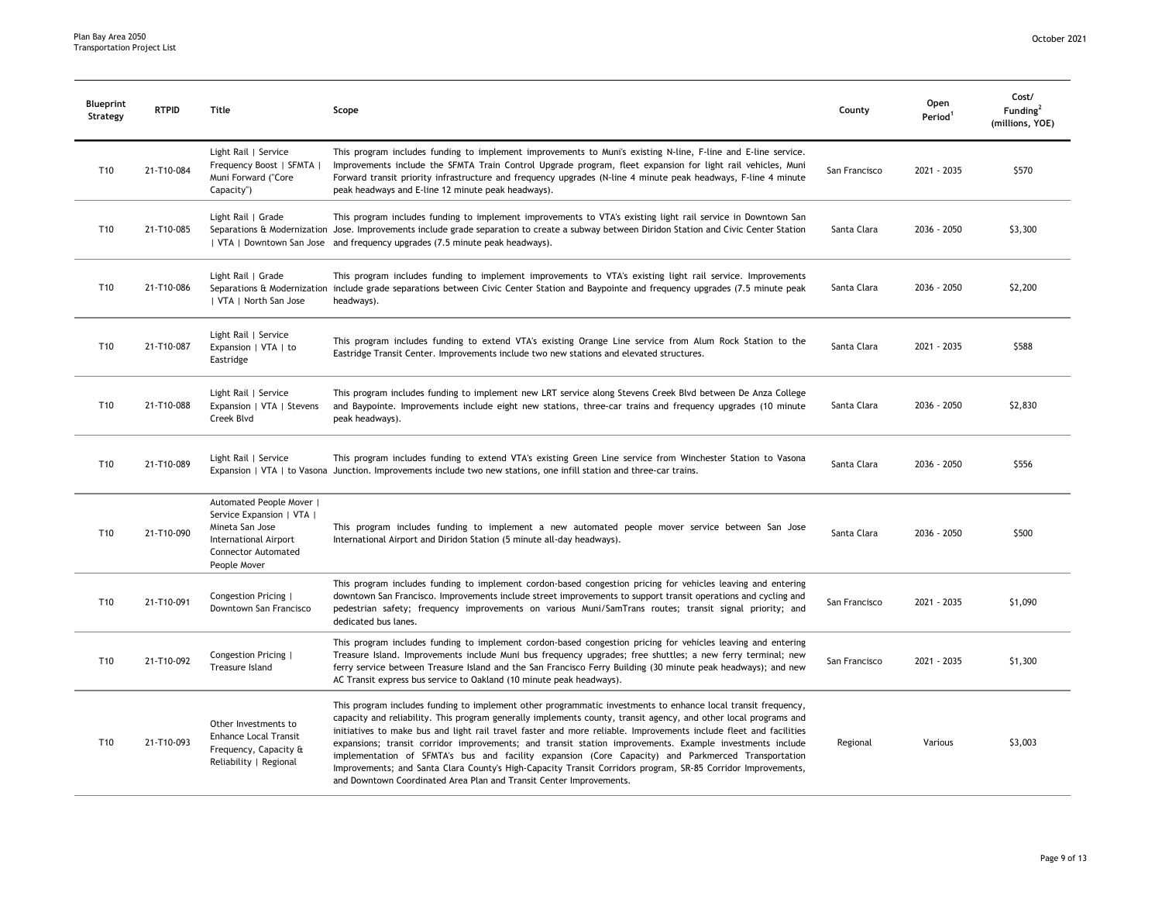| Blueprint<br>Strategy | <b>RTPID</b> | Title                                                                                                                                           | Scope                                                                                                                                                                                                                                                                                                                                                                                                                                                                                                                                                                                                                                                                                                                                                           | County        | Open<br>Period <sup>1</sup> | Cost/<br>Funding <sup>2</sup><br>(millions, YOE) |
|-----------------------|--------------|-------------------------------------------------------------------------------------------------------------------------------------------------|-----------------------------------------------------------------------------------------------------------------------------------------------------------------------------------------------------------------------------------------------------------------------------------------------------------------------------------------------------------------------------------------------------------------------------------------------------------------------------------------------------------------------------------------------------------------------------------------------------------------------------------------------------------------------------------------------------------------------------------------------------------------|---------------|-----------------------------|--------------------------------------------------|
| T10                   | 21-T10-084   | Light Rail   Service<br>Frequency Boost   SFMTA  <br>Muni Forward ("Core<br>Capacity")                                                          | This program includes funding to implement improvements to Muni's existing N-line, F-line and E-line service.<br>Improvements include the SFMTA Train Control Upgrade program, fleet expansion for light rail vehicles, Muni<br>Forward transit priority infrastructure and frequency upgrades (N-line 4 minute peak headways, F-line 4 minute<br>peak headways and E-line 12 minute peak headways).                                                                                                                                                                                                                                                                                                                                                            | San Francisco | 2021 - 2035                 | \$570                                            |
| T10                   | 21-T10-085   | Light Rail   Grade                                                                                                                              | This program includes funding to implement improvements to VTA's existing light rail service in Downtown San<br>Separations & Modernization Jose. Improvements include grade separation to create a subway between Diridon Station and Civic Center Station<br>  VTA   Downtown San Jose and frequency upgrades (7.5 minute peak headways).                                                                                                                                                                                                                                                                                                                                                                                                                     | Santa Clara   | 2036 - 2050                 | \$3,300                                          |
| T10                   | 21-T10-086   | Light Rail   Grade<br>  VTA   North San Jose                                                                                                    | This program includes funding to implement improvements to VTA's existing light rail service. Improvements<br>Separations & Modernization include grade separations between Civic Center Station and Baypointe and frequency upgrades (7.5 minute peak<br>headways).                                                                                                                                                                                                                                                                                                                                                                                                                                                                                            | Santa Clara   | 2036 - 2050                 | \$2,200                                          |
| T10                   | 21-T10-087   | Light Rail   Service<br>Expansion   VTA   to<br>Eastridge                                                                                       | This program includes funding to extend VTA's existing Orange Line service from Alum Rock Station to the<br>Eastridge Transit Center. Improvements include two new stations and elevated structures.                                                                                                                                                                                                                                                                                                                                                                                                                                                                                                                                                            | Santa Clara   | 2021 - 2035                 | \$588                                            |
| T10                   | 21-T10-088   | Light Rail   Service<br>Expansion   VTA   Stevens<br>Creek Blvd                                                                                 | This program includes funding to implement new LRT service along Stevens Creek Blvd between De Anza College<br>and Baypointe. Improvements include eight new stations, three-car trains and frequency upgrades (10 minute<br>peak headways).                                                                                                                                                                                                                                                                                                                                                                                                                                                                                                                    | Santa Clara   | 2036 - 2050                 | \$2,830                                          |
| T10                   | 21-T10-089   | Light Rail   Service                                                                                                                            | This program includes funding to extend VTA's existing Green Line service from Winchester Station to Vasona<br>Expansion   VTA   to Vasona Junction. Improvements include two new stations, one infill station and three-car trains.                                                                                                                                                                                                                                                                                                                                                                                                                                                                                                                            | Santa Clara   | 2036 - 2050                 | \$556                                            |
| T10                   | 21-T10-090   | Automated People Mover  <br>Service Expansion   VTA  <br>Mineta San Jose<br><b>International Airport</b><br>Connector Automated<br>People Mover | This program includes funding to implement a new automated people mover service between San Jose<br>International Airport and Diridon Station (5 minute all-day headways).                                                                                                                                                                                                                                                                                                                                                                                                                                                                                                                                                                                      | Santa Clara   | 2036 - 2050                 | \$500                                            |
| T10                   | 21-T10-091   | Congestion Pricing  <br>Downtown San Francisco                                                                                                  | This program includes funding to implement cordon-based congestion pricing for vehicles leaving and entering<br>downtown San Francisco. Improvements include street improvements to support transit operations and cycling and<br>pedestrian safety; frequency improvements on various Muni/SamTrans routes; transit signal priority; and<br>dedicated bus lanes.                                                                                                                                                                                                                                                                                                                                                                                               | San Francisco | 2021 - 2035                 | \$1,090                                          |
| T10                   | 21-T10-092   | Congestion Pricing  <br>Treasure Island                                                                                                         | This program includes funding to implement cordon-based congestion pricing for vehicles leaving and entering<br>Treasure Island. Improvements include Muni bus frequency upgrades; free shuttles; a new ferry terminal; new<br>ferry service between Treasure Island and the San Francisco Ferry Building (30 minute peak headways); and new<br>AC Transit express bus service to Oakland (10 minute peak headways).                                                                                                                                                                                                                                                                                                                                            | San Francisco | 2021 - 2035                 | \$1,300                                          |
| T10                   | 21-T10-093   | Other Investments to<br><b>Enhance Local Transit</b><br>Frequency, Capacity &<br>Reliability   Regional                                         | This program includes funding to implement other programmatic investments to enhance local transit frequency,<br>capacity and reliability. This program generally implements county, transit agency, and other local programs and<br>initiatives to make bus and light rail travel faster and more reliable. Improvements include fleet and facilities<br>expansions; transit corridor improvements; and transit station improvements. Example investments include<br>implementation of SFMTA's bus and facility expansion (Core Capacity) and Parkmerced Transportation<br>Improvements; and Santa Clara County's High-Capacity Transit Corridors program, SR-85 Corridor Improvements,<br>and Downtown Coordinated Area Plan and Transit Center Improvements. | Regional      | Various                     | \$3,003                                          |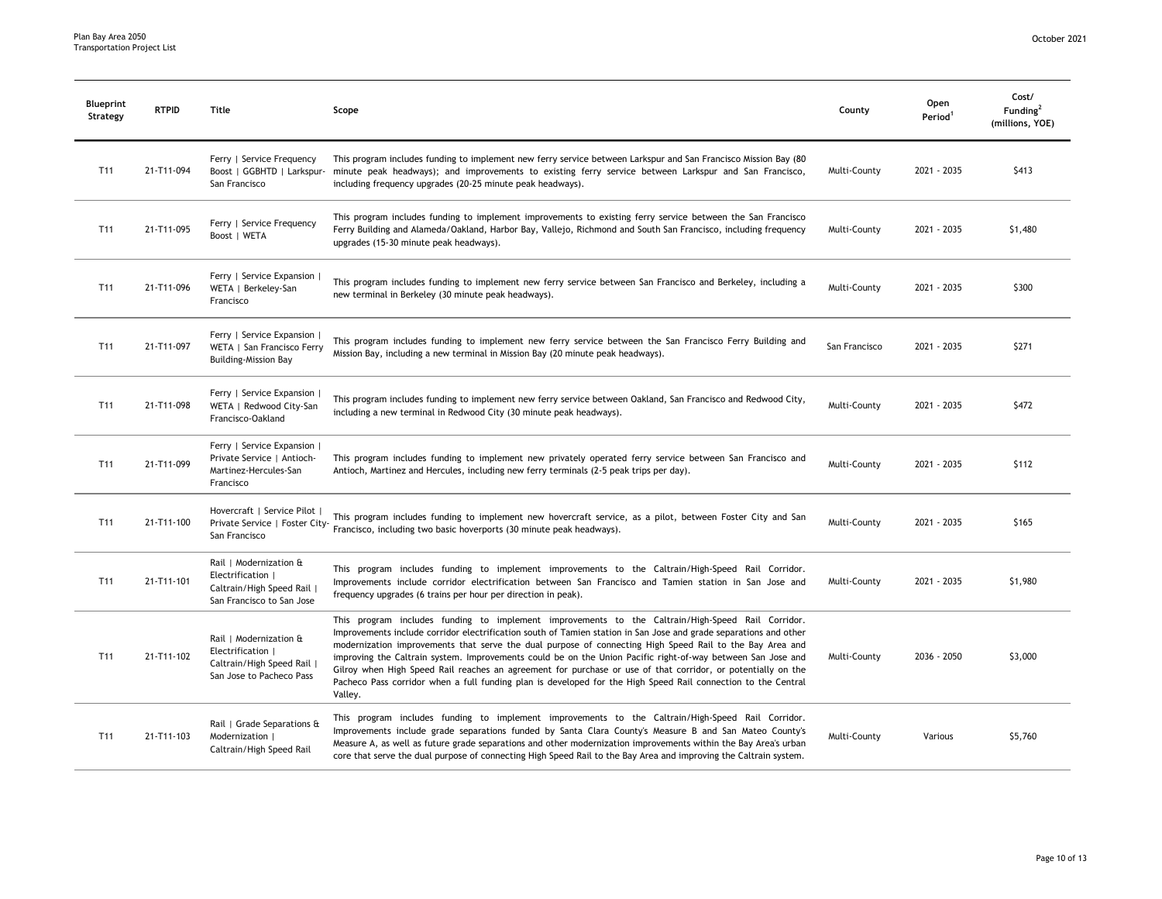| Blueprint<br>Strategy | <b>RTPID</b> | Title                                                                                                | Scope                                                                                                                                                                                                                                                                                                                                                                                                                                                                                                                                                                                                                                                                                         | County        | Open<br>Period <sup>1</sup> | Cost/<br>Funding <sup>2</sup><br>(millions, YOE) |
|-----------------------|--------------|------------------------------------------------------------------------------------------------------|-----------------------------------------------------------------------------------------------------------------------------------------------------------------------------------------------------------------------------------------------------------------------------------------------------------------------------------------------------------------------------------------------------------------------------------------------------------------------------------------------------------------------------------------------------------------------------------------------------------------------------------------------------------------------------------------------|---------------|-----------------------------|--------------------------------------------------|
| T <sub>11</sub>       | 21-T11-094   | Ferry   Service Frequency<br>Boost   GGBHTD   Larkspur-<br>San Francisco                             | This program includes funding to implement new ferry service between Larkspur and San Francisco Mission Bay (80<br>minute peak headways); and improvements to existing ferry service between Larkspur and San Francisco,<br>including frequency upgrades (20-25 minute peak headways).                                                                                                                                                                                                                                                                                                                                                                                                        | Multi-County  | 2021 - 2035                 | \$413                                            |
| T <sub>11</sub>       | 21-T11-095   | Ferry   Service Frequency<br>Boost   WETA                                                            | This program includes funding to implement improvements to existing ferry service between the San Francisco<br>Ferry Building and Alameda/Oakland, Harbor Bay, Vallejo, Richmond and South San Francisco, including frequency<br>upgrades (15-30 minute peak headways).                                                                                                                                                                                                                                                                                                                                                                                                                       | Multi-County  | 2021 - 2035                 | \$1,480                                          |
| T11                   | 21-T11-096   | Ferry   Service Expansion<br>WETA   Berkeley-San<br>Francisco                                        | This program includes funding to implement new ferry service between San Francisco and Berkeley, including a<br>new terminal in Berkeley (30 minute peak headways).                                                                                                                                                                                                                                                                                                                                                                                                                                                                                                                           | Multi-County  | 2021 - 2035                 | \$300                                            |
| T <sub>11</sub>       | 21-T11-097   | Ferry   Service Expansion  <br>WETA   San Francisco Ferry<br><b>Building-Mission Bay</b>             | This program includes funding to implement new ferry service between the San Francisco Ferry Building and<br>Mission Bay, including a new terminal in Mission Bay (20 minute peak headways).                                                                                                                                                                                                                                                                                                                                                                                                                                                                                                  | San Francisco | 2021 - 2035                 | \$271                                            |
| T11                   | 21-T11-098   | Ferry   Service Expansion  <br>WETA   Redwood City-San<br>Francisco-Oakland                          | This program includes funding to implement new ferry service between Oakland, San Francisco and Redwood City,<br>including a new terminal in Redwood City (30 minute peak headways).                                                                                                                                                                                                                                                                                                                                                                                                                                                                                                          | Multi-County  | 2021 - 2035                 | \$472                                            |
| T11                   | 21-T11-099   | Ferry   Service Expansion  <br>Private Service   Antioch-<br>Martinez-Hercules-San<br>Francisco      | This program includes funding to implement new privately operated ferry service between San Francisco and<br>Antioch, Martinez and Hercules, including new ferry terminals (2-5 peak trips per day).                                                                                                                                                                                                                                                                                                                                                                                                                                                                                          | Multi-County  | 2021 - 2035                 | \$112                                            |
| T <sub>11</sub>       | 21-T11-100   | Hovercraft   Service Pilot                                                                           | This program includes funding to implement new hovercraft service, as a pilot, between Foster City and San                                                                                                                                                                                                                                                                                                                                                                                                                                                                                                                                                                                    | Multi-County  | 2021 - 2035                 | \$165                                            |
| T11                   | 21-T11-101   | Rail   Modernization &<br>Electrification  <br>Caltrain/High Speed Rail<br>San Francisco to San Jose | This program includes funding to implement improvements to the Caltrain/High-Speed Rail Corridor.<br>Improvements include corridor electrification between San Francisco and Tamien station in San Jose and<br>frequency upgrades (6 trains per hour per direction in peak).                                                                                                                                                                                                                                                                                                                                                                                                                  | Multi-County  | 2021 - 2035                 | \$1,980                                          |
| T11                   | 21-T11-102   | Rail   Modernization &<br>Electrification  <br>Caltrain/High Speed Rail<br>San Jose to Pacheco Pass  | This program includes funding to implement improvements to the Caltrain/High-Speed Rail Corridor.<br>Improvements include corridor electrification south of Tamien station in San Jose and grade separations and other<br>modernization improvements that serve the dual purpose of connecting High Speed Rail to the Bay Area and<br>improving the Caltrain system. Improvements could be on the Union Pacific right-of-way between San Jose and<br>Gilroy when High Speed Rail reaches an agreement for purchase or use of that corridor, or potentially on the<br>Pacheco Pass corridor when a full funding plan is developed for the High Speed Rail connection to the Central<br>Valley. | Multi-County  | 2036 - 2050                 | \$3,000                                          |
| T <sub>11</sub>       | 21-T11-103   | Rail   Grade Separations &<br>Modernization  <br>Caltrain/High Speed Rail                            | This program includes funding to implement improvements to the Caltrain/High-Speed Rail Corridor.<br>Improvements include grade separations funded by Santa Clara County's Measure B and San Mateo County's<br>Measure A, as well as future grade separations and other modernization improvements within the Bay Area's urban<br>core that serve the dual purpose of connecting High Speed Rail to the Bay Area and improving the Caltrain system.                                                                                                                                                                                                                                           | Multi-County  | Various                     | \$5,760                                          |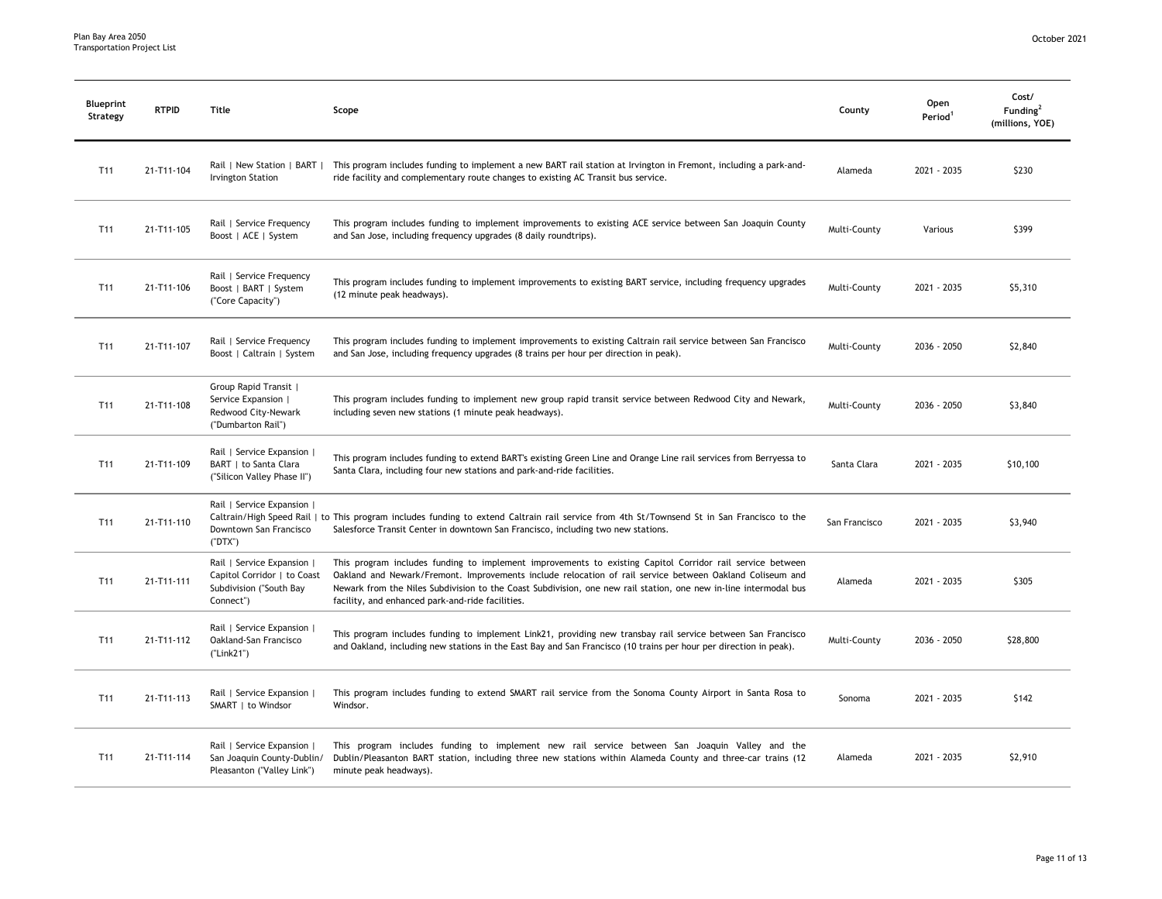| Blueprint<br>Strategy | <b>RTPID</b> | Title                                                                                             | Scope                                                                                                                                                                                                                                                                                                                                                                                         | County        | Open<br>Period <sup>1</sup> | Cost/<br>Funding <sup>2</sup><br>(millions, YOE) |
|-----------------------|--------------|---------------------------------------------------------------------------------------------------|-----------------------------------------------------------------------------------------------------------------------------------------------------------------------------------------------------------------------------------------------------------------------------------------------------------------------------------------------------------------------------------------------|---------------|-----------------------------|--------------------------------------------------|
| T11                   | 21-T11-104   | Rail   New Station   BART  <br><b>Irvington Station</b>                                           | This program includes funding to implement a new BART rail station at Irvington in Fremont, including a park-and-<br>ride facility and complementary route changes to existing AC Transit bus service.                                                                                                                                                                                        | Alameda       | 2021 - 2035                 | \$230                                            |
| T11                   | 21-T11-105   | Rail   Service Frequency<br>Boost   ACE   System                                                  | This program includes funding to implement improvements to existing ACE service between San Joaquin County<br>and San Jose, including frequency upgrades (8 daily roundtrips).                                                                                                                                                                                                                | Multi-County  | Various                     | \$399                                            |
| T11                   | 21-T11-106   | Rail   Service Frequency<br>Boost   BART   System<br>("Core Capacity")                            | This program includes funding to implement improvements to existing BART service, including frequency upgrades<br>(12 minute peak headways).                                                                                                                                                                                                                                                  | Multi-County  | 2021 - 2035                 | \$5,310                                          |
| T <sub>11</sub>       | 21-T11-107   | Rail   Service Frequency<br>Boost   Caltrain   System                                             | This program includes funding to implement improvements to existing Caltrain rail service between San Francisco<br>and San Jose, including frequency upgrades (8 trains per hour per direction in peak).                                                                                                                                                                                      | Multi-County  | 2036 - 2050                 | \$2,840                                          |
| T <sub>11</sub>       | 21-T11-108   | Group Rapid Transit  <br>Service Expansion  <br>Redwood City-Newark<br>("Dumbarton Rail")         | This program includes funding to implement new group rapid transit service between Redwood City and Newark,<br>including seven new stations (1 minute peak headways).                                                                                                                                                                                                                         | Multi-County  | 2036 - 2050                 | \$3,840                                          |
| T11                   | 21-T11-109   | Rail   Service Expansion  <br>BART   to Santa Clara<br>("Silicon Valley Phase II")                | This program includes funding to extend BART's existing Green Line and Orange Line rail services from Berryessa to<br>Santa Clara, including four new stations and park-and-ride facilities.                                                                                                                                                                                                  | Santa Clara   | 2021 - 2035                 | \$10,100                                         |
| T11                   | 21-T11-110   | Rail   Service Expansion  <br>Downtown San Francisco<br>(TDTX")                                   | Caltrain/High Speed Rail   to This program includes funding to extend Caltrain rail service from 4th St/Townsend St in San Francisco to the<br>Salesforce Transit Center in downtown San Francisco, including two new stations.                                                                                                                                                               | San Francisco | 2021 - 2035                 | \$3,940                                          |
| T11                   | 21-T11-111   | Rail   Service Expansion  <br>Capitol Corridor   to Coast<br>Subdivision ("South Bay<br>Connect") | This program includes funding to implement improvements to existing Capitol Corridor rail service between<br>Oakland and Newark/Fremont. Improvements include relocation of rail service between Oakland Coliseum and<br>Newark from the Niles Subdivision to the Coast Subdivision, one new rail station, one new in-line intermodal bus<br>facility, and enhanced park-and-ride facilities. | Alameda       | 2021 - 2035                 | \$305                                            |
| T11                   | 21-T11-112   | Rail   Service Expansion  <br>Oakland-San Francisco<br>("Link21")                                 | This program includes funding to implement Link21, providing new transbay rail service between San Francisco<br>and Oakland, including new stations in the East Bay and San Francisco (10 trains per hour per direction in peak).                                                                                                                                                             | Multi-County  | 2036 - 2050                 | \$28,800                                         |
| T11                   | 21-T11-113   | Rail   Service Expansion  <br>SMART   to Windsor                                                  | This program includes funding to extend SMART rail service from the Sonoma County Airport in Santa Rosa to<br>Windsor.                                                                                                                                                                                                                                                                        | Sonoma        | 2021 - 2035                 | \$142                                            |
| T11                   | 21-T11-114   | Rail   Service Expansion  <br>San Joaquin County-Dublin/<br>Pleasanton ("Valley Link")            | This program includes funding to implement new rail service between San Joaquin Valley and the<br>Dublin/Pleasanton BART station, including three new stations within Alameda County and three-car trains (12<br>minute peak headways).                                                                                                                                                       | Alameda       | 2021 - 2035                 | \$2,910                                          |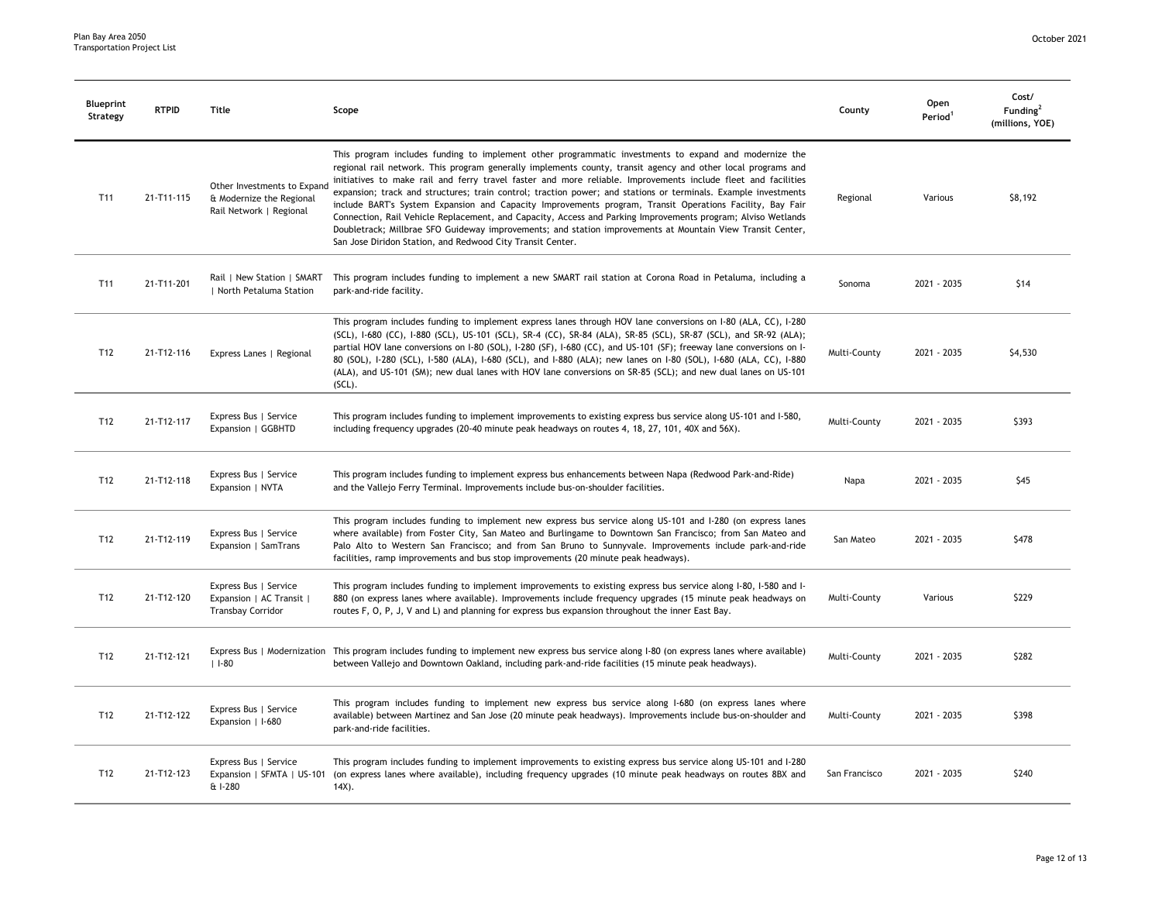| Blueprint<br>Strategy | <b>RTPID</b> | Title                                                                              | Scope                                                                                                                                                                                                                                                                                                                                                                                                                                                                                                                                                                                                                                                                                                                                                                                                                                                            | County        | Open<br>Period <sup>1</sup> | Cost/<br>Funding <sup>2</sup><br>(millions, YOE) |
|-----------------------|--------------|------------------------------------------------------------------------------------|------------------------------------------------------------------------------------------------------------------------------------------------------------------------------------------------------------------------------------------------------------------------------------------------------------------------------------------------------------------------------------------------------------------------------------------------------------------------------------------------------------------------------------------------------------------------------------------------------------------------------------------------------------------------------------------------------------------------------------------------------------------------------------------------------------------------------------------------------------------|---------------|-----------------------------|--------------------------------------------------|
| T <sub>11</sub>       | 21-T11-115   | Other Investments to Expand<br>& Modernize the Regional<br>Rail Network   Regional | This program includes funding to implement other programmatic investments to expand and modernize the<br>regional rail network. This program generally implements county, transit agency and other local programs and<br>initiatives to make rail and ferry travel faster and more reliable. Improvements include fleet and facilities<br>expansion; track and structures; train control; traction power; and stations or terminals. Example investments<br>include BART's System Expansion and Capacity Improvements program, Transit Operations Facility, Bay Fair<br>Connection, Rail Vehicle Replacement, and Capacity, Access and Parking Improvements program; Alviso Wetlands<br>Doubletrack; Millbrae SFO Guideway improvements; and station improvements at Mountain View Transit Center,<br>San Jose Diridon Station, and Redwood City Transit Center. | Regional      | Various                     | \$8,192                                          |
| T <sub>11</sub>       | 21-T11-201   | Rail   New Station   SMART<br>  North Petaluma Station                             | This program includes funding to implement a new SMART rail station at Corona Road in Petaluma, including a<br>park-and-ride facility.                                                                                                                                                                                                                                                                                                                                                                                                                                                                                                                                                                                                                                                                                                                           | Sonoma        | 2021 - 2035                 | \$14                                             |
| T <sub>12</sub>       | 21-T12-116   | Express Lanes   Regional                                                           | This program includes funding to implement express lanes through HOV lane conversions on I-80 (ALA, CC), I-280<br>(SCL), I-680 (CC), I-880 (SCL), US-101 (SCL), SR-4 (CC), SR-84 (ALA), SR-85 (SCL), SR-87 (SCL), and SR-92 (ALA);<br>partial HOV lane conversions on I-80 (SOL), I-280 (SF), I-680 (CC), and US-101 (SF); freeway lane conversions on I-<br>80 (SOL), I-280 (SCL), I-580 (ALA), I-680 (SCL), and I-880 (ALA); new lanes on I-80 (SOL), I-680 (ALA, CC), I-880<br>(ALA), and US-101 (SM); new dual lanes with HOV lane conversions on SR-85 (SCL); and new dual lanes on US-101<br>$(SCL)$ .                                                                                                                                                                                                                                                     | Multi-County  | 2021 - 2035                 | \$4,530                                          |
| T12                   | 21-T12-117   | Express Bus   Service<br>Expansion   GGBHTD                                        | This program includes funding to implement improvements to existing express bus service along US-101 and I-580,<br>including frequency upgrades (20-40 minute peak headways on routes 4, 18, 27, 101, 40X and 56X).                                                                                                                                                                                                                                                                                                                                                                                                                                                                                                                                                                                                                                              | Multi-County  | 2021 - 2035                 | \$393                                            |
| T12                   | 21-T12-118   | Express Bus   Service<br>Expansion   NVTA                                          | This program includes funding to implement express bus enhancements between Napa (Redwood Park-and-Ride)<br>and the Vallejo Ferry Terminal. Improvements include bus-on-shoulder facilities.                                                                                                                                                                                                                                                                                                                                                                                                                                                                                                                                                                                                                                                                     | Napa          | 2021 - 2035                 | \$45                                             |
| T <sub>12</sub>       | 21-T12-119   | Express Bus   Service<br>Expansion   SamTrans                                      | This program includes funding to implement new express bus service along US-101 and I-280 (on express lanes<br>where available) from Foster City, San Mateo and Burlingame to Downtown San Francisco; from San Mateo and<br>Palo Alto to Western San Francisco; and from San Bruno to Sunnyvale. Improvements include park-and-ride<br>facilities, ramp improvements and bus stop improvements (20 minute peak headways).                                                                                                                                                                                                                                                                                                                                                                                                                                        | San Mateo     | 2021 - 2035                 | \$478                                            |
| T12                   | 21-T12-120   | Express Bus   Service<br>Expansion   AC Transit  <br><b>Transbay Corridor</b>      | This program includes funding to implement improvements to existing express bus service along 1-80, 1-580 and 1-<br>880 (on express lanes where available). Improvements include frequency upgrades (15 minute peak headways on<br>routes F, O, P, J, V and L) and planning for express bus expansion throughout the inner East Bay.                                                                                                                                                                                                                                                                                                                                                                                                                                                                                                                             | Multi-County  | Various                     | \$229                                            |
| T12                   | 21-T12-121   | $11-80$                                                                            | Express Bus   Modernization This program includes funding to implement new express bus service along I-80 (on express lanes where available)<br>between Vallejo and Downtown Oakland, including park-and-ride facilities (15 minute peak headways).                                                                                                                                                                                                                                                                                                                                                                                                                                                                                                                                                                                                              | Multi-County  | 2021 - 2035                 | \$282                                            |
| T12                   | 21-T12-122   | Express Bus   Service<br>Expansion   I-680                                         | This program includes funding to implement new express bus service along I-680 (on express lanes where<br>available) between Martinez and San Jose (20 minute peak headways). Improvements include bus-on-shoulder and<br>park-and-ride facilities.                                                                                                                                                                                                                                                                                                                                                                                                                                                                                                                                                                                                              | Multi-County  | 2021 - 2035                 | \$398                                            |
| T12                   | 21-T12-123   | Express Bus   Service<br>Expansion   SFMTA   US-101<br>& I-280                     | This program includes funding to implement improvements to existing express bus service along US-101 and I-280<br>(on express lanes where available), including frequency upgrades (10 minute peak headways on routes 8BX and<br>$14X$ ).                                                                                                                                                                                                                                                                                                                                                                                                                                                                                                                                                                                                                        | San Francisco | 2021 - 2035                 | \$240                                            |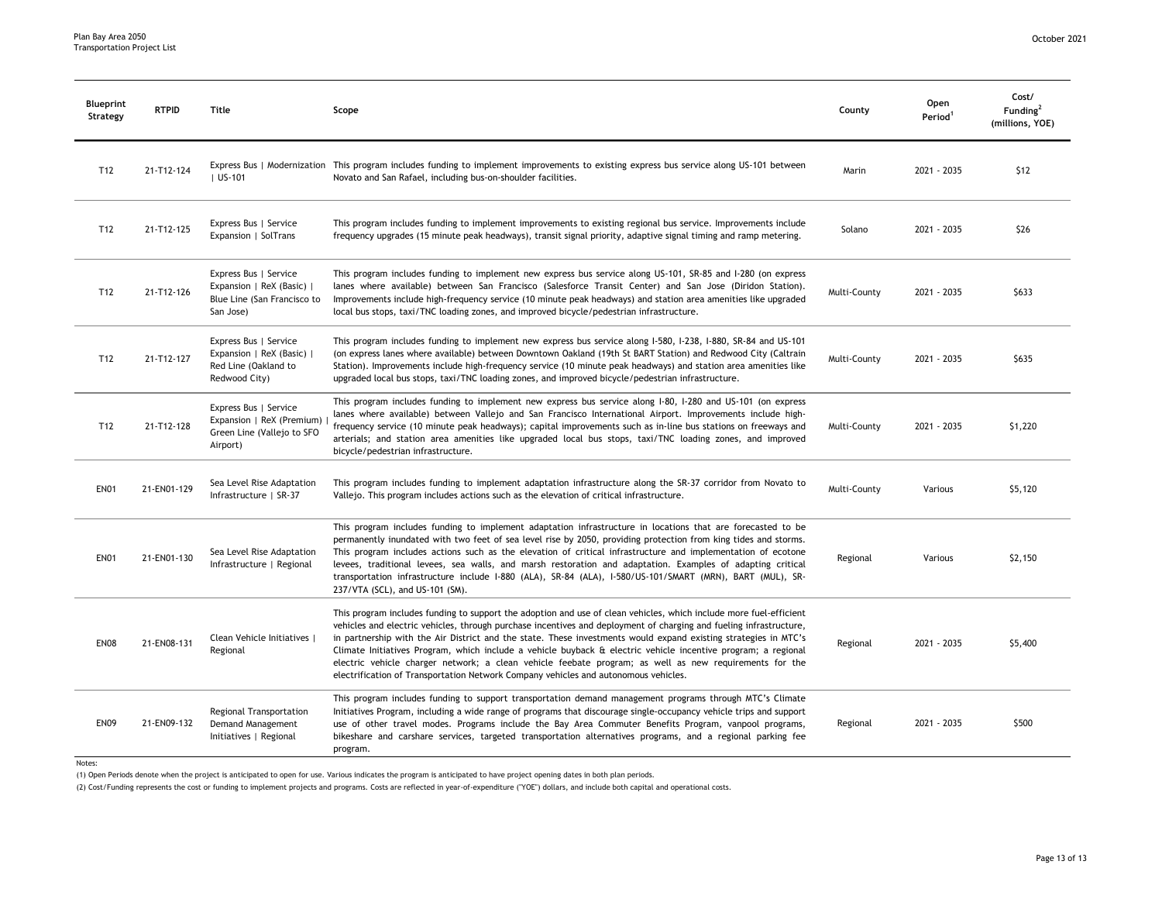| Blueprint<br>Strategy | <b>RTPID</b> | Title                                                                                          | Scope                                                                                                                                                                                                                                                                                                                                                                                                                                                                                                                                                                                                                                                                         | County       | Open<br>Period <sup>1</sup> | Cost/<br>Funding <sup>2</sup><br>(millions, YOE) |
|-----------------------|--------------|------------------------------------------------------------------------------------------------|-------------------------------------------------------------------------------------------------------------------------------------------------------------------------------------------------------------------------------------------------------------------------------------------------------------------------------------------------------------------------------------------------------------------------------------------------------------------------------------------------------------------------------------------------------------------------------------------------------------------------------------------------------------------------------|--------------|-----------------------------|--------------------------------------------------|
| T12                   | 21-T12-124   | $ $ US-101                                                                                     | Express Bus   Modernization This program includes funding to implement improvements to existing express bus service along US-101 between<br>Novato and San Rafael, including bus-on-shoulder facilities.                                                                                                                                                                                                                                                                                                                                                                                                                                                                      | Marin        | 2021 - 2035                 | \$12                                             |
| T12                   | 21-T12-125   | Express Bus   Service<br>Expansion   SolTrans                                                  | This program includes funding to implement improvements to existing regional bus service. Improvements include<br>frequency upgrades (15 minute peak headways), transit signal priority, adaptive signal timing and ramp metering.                                                                                                                                                                                                                                                                                                                                                                                                                                            | Solano       | 2021 - 2035                 | \$26                                             |
| T12                   | 21-T12-126   | Express Bus   Service<br>Expansion   ReX (Basic)  <br>Blue Line (San Francisco to<br>San Jose) | This program includes funding to implement new express bus service along US-101, SR-85 and I-280 (on express<br>lanes where available) between San Francisco (Salesforce Transit Center) and San Jose (Diridon Station).<br>Improvements include high-frequency service (10 minute peak headways) and station area amenities like upgraded<br>local bus stops, taxi/TNC loading zones, and improved bicycle/pedestrian infrastructure.                                                                                                                                                                                                                                        | Multi-County | 2021 - 2035                 | \$633                                            |
| T <sub>12</sub>       | 21-T12-127   | Express Bus   Service<br>Expansion   ReX (Basic)  <br>Red Line (Oakland to<br>Redwood City)    | This program includes funding to implement new express bus service along I-580, I-238, I-880, SR-84 and US-101<br>(on express lanes where available) between Downtown Oakland (19th St BART Station) and Redwood City (Caltrain<br>Station). Improvements include high-frequency service (10 minute peak headways) and station area amenities like<br>upgraded local bus stops, taxi/TNC loading zones, and improved bicycle/pedestrian infrastructure.                                                                                                                                                                                                                       | Multi-County | 2021 - 2035                 | \$635                                            |
| T12                   | 21-T12-128   | Express Bus   Service<br>Expansion   ReX (Premium)<br>Green Line (Vallejo to SFO<br>Airport)   | This program includes funding to implement new express bus service along 1-80, 1-280 and US-101 (on express<br>lanes where available) between Vallejo and San Francisco International Airport. Improvements include high-<br>frequency service (10 minute peak headways); capital improvements such as in-line bus stations on freeways and<br>arterials; and station area amenities like upgraded local bus stops, taxi/TNC loading zones, and improved<br>bicycle/pedestrian infrastructure.                                                                                                                                                                                | Multi-County | 2021 - 2035                 | \$1,220                                          |
| <b>EN01</b>           | 21-EN01-129  | Sea Level Rise Adaptation<br>Infrastructure   SR-37                                            | This program includes funding to implement adaptation infrastructure along the SR-37 corridor from Novato to<br>Vallejo. This program includes actions such as the elevation of critical infrastructure.                                                                                                                                                                                                                                                                                                                                                                                                                                                                      | Multi-County | Various                     | \$5,120                                          |
| <b>EN01</b>           | 21-EN01-130  | Sea Level Rise Adaptation<br>Infrastructure   Regional                                         | This program includes funding to implement adaptation infrastructure in locations that are forecasted to be<br>permanently inundated with two feet of sea level rise by 2050, providing protection from king tides and storms.<br>This program includes actions such as the elevation of critical infrastructure and implementation of ecotone<br>levees, traditional levees, sea walls, and marsh restoration and adaptation. Examples of adapting critical<br>transportation infrastructure include I-880 (ALA), SR-84 (ALA), I-580/US-101/SMART (MRN), BART (MUL), SR-<br>237/VTA (SCL), and US-101 (SM).                                                                  | Regional     | Various                     | \$2,150                                          |
| <b>EN08</b>           | 21-EN08-131  | Clean Vehicle Initiatives  <br>Regional                                                        | This program includes funding to support the adoption and use of clean vehicles, which include more fuel-efficient<br>vehicles and electric vehicles, through purchase incentives and deployment of charging and fueling infrastructure,<br>in partnership with the Air District and the state. These investments would expand existing strategies in MTC's<br>Climate Initiatives Program, which include a vehicle buyback & electric vehicle incentive program; a regional<br>electric vehicle charger network; a clean vehicle feebate program; as well as new requirements for the<br>electrification of Transportation Network Company vehicles and autonomous vehicles. | Regional     | 2021 - 2035                 | \$5,400                                          |
| <b>EN09</b>           | 21-EN09-132  | Regional Transportation<br>Demand Management<br>Initiatives   Regional                         | This program includes funding to support transportation demand management programs through MTC's Climate<br>Initiatives Program, including a wide range of programs that discourage single-occupancy vehicle trips and support<br>use of other travel modes. Programs include the Bay Area Commuter Benefits Program, vanpool programs,<br>bikeshare and carshare services, targeted transportation alternatives programs, and a regional parking fee<br>program.                                                                                                                                                                                                             | Regional     | 2021 - 2035                 | \$500                                            |

Notes:

(1) Open Periods denote when the project is anticipated to open for use. Various indicates the program is anticipated to have project opening dates in both plan periods.

(2) Cost/Funding represents the cost or funding to implement projects and programs. Costs are reflected in year-of-expenditure ("YOE") dollars, and include both capital and operational costs.